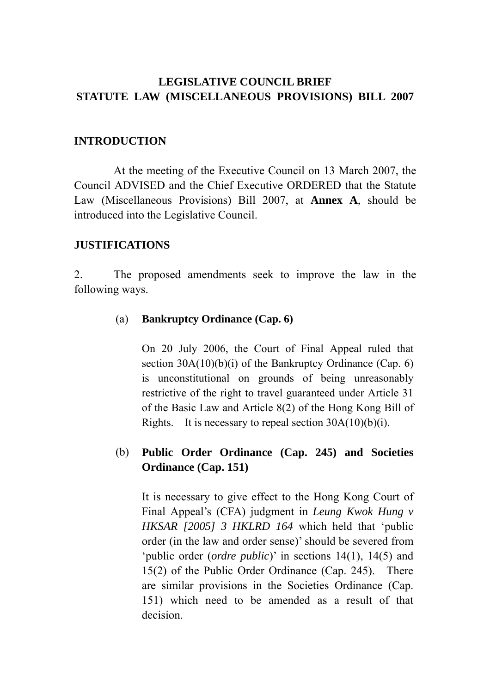# **LEGISLATIVE COUNCIL BRIEF STATUTE LAW (MISCELLANEOUS PROVISIONS) BILL 2007**

## **INTRODUCTION**

 At the meeting of the Executive Council on 13 March 2007, the Council ADVISED and the Chief Executive ORDERED that the Statute Law (Miscellaneous Provisions) Bill 2007, at **Annex A**, should be introduced into the Legislative Council.

## **JUSTIFICATIONS**

2. The proposed amendments seek to improve the law in the following ways.

## (a) **Bankruptcy Ordinance (Cap. 6)**

On 20 July 2006, the Court of Final Appeal ruled that section 30A(10)(b)(i) of the Bankruptcy Ordinance (Cap. 6) is unconstitutional on grounds of being unreasonably restrictive of the right to travel guaranteed under Article 31 of the Basic Law and Article 8(2) of the Hong Kong Bill of Rights. It is necessary to repeal section  $30A(10)(b)(i)$ .

# (b) **Public Order Ordinance (Cap. 245) and Societies Ordinance (Cap. 151)**

 It is necessary to give effect to the Hong Kong Court of Final Appeal's (CFA) judgment in *Leung Kwok Hung v HKSAR [2005] 3 HKLRD 164* which held that 'public order (in the law and order sense)' should be severed from 'public order (*ordre public*)' in sections 14(1), 14(5) and 15(2) of the Public Order Ordinance (Cap. 245). There are similar provisions in the Societies Ordinance (Cap. 151) which need to be amended as a result of that decision.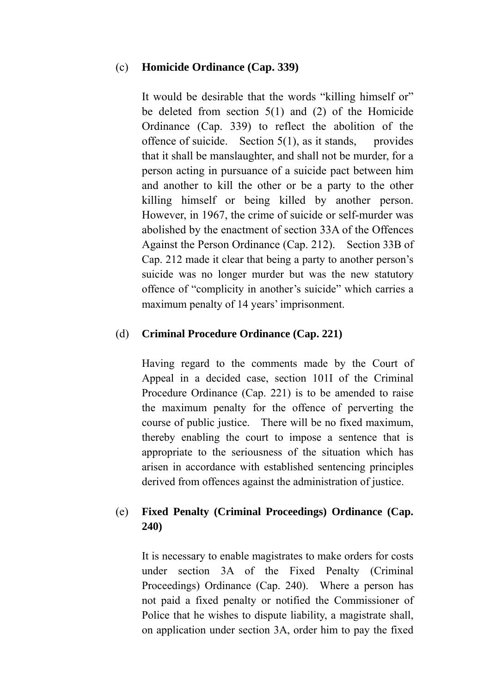## (c) **Homicide Ordinance (Cap. 339)**

 It would be desirable that the words "killing himself or" be deleted from section 5(1) and (2) of the Homicide Ordinance (Cap. 339) to reflect the abolition of the offence of suicide. Section  $5(1)$ , as it stands, provides that it shall be manslaughter, and shall not be murder, for a person acting in pursuance of a suicide pact between him and another to kill the other or be a party to the other killing himself or being killed by another person. However, in 1967, the crime of suicide or self-murder was abolished by the enactment of section 33A of the Offences Against the Person Ordinance (Cap. 212). Section 33B of Cap. 212 made it clear that being a party to another person's suicide was no longer murder but was the new statutory offence of "complicity in another's suicide" which carries a maximum penalty of 14 years' imprisonment.

## (d) **Criminal Procedure Ordinance (Cap. 221)**

Having regard to the comments made by the Court of Appeal in a decided case, section 101I of the Criminal Procedure Ordinance (Cap. 221) is to be amended to raise the maximum penalty for the offence of perverting the course of public justice. There will be no fixed maximum, thereby enabling the court to impose a sentence that is appropriate to the seriousness of the situation which has arisen in accordance with established sentencing principles derived from offences against the administration of justice.

## (e) **Fixed Penalty (Criminal Proceedings) Ordinance (Cap. 240)**

It is necessary to enable magistrates to make orders for costs under section 3A of the Fixed Penalty (Criminal Proceedings) Ordinance (Cap. 240). Where a person has not paid a fixed penalty or notified the Commissioner of Police that he wishes to dispute liability, a magistrate shall, on application under section 3A, order him to pay the fixed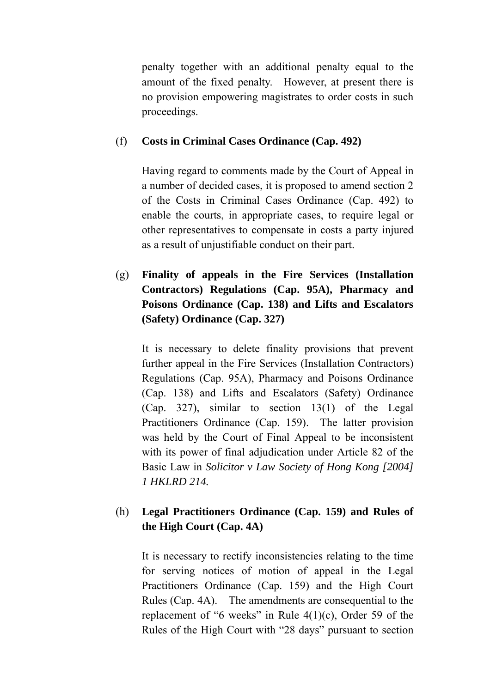penalty together with an additional penalty equal to the amount of the fixed penalty. However, at present there is no provision empowering magistrates to order costs in such proceedings.

## (f) **Costs in Criminal Cases Ordinance (Cap. 492)**

Having regard to comments made by the Court of Appeal in a number of decided cases, it is proposed to amend section 2 of the Costs in Criminal Cases Ordinance (Cap. 492) to enable the courts, in appropriate cases, to require legal or other representatives to compensate in costs a party injured as a result of unjustifiable conduct on their part.

(g) **Finality of appeals in the Fire Services (Installation Contractors) Regulations (Cap. 95A), Pharmacy and Poisons Ordinance (Cap. 138) and Lifts and Escalators (Safety) Ordinance (Cap. 327)** 

It is necessary to delete finality provisions that prevent further appeal in the Fire Services (Installation Contractors) Regulations (Cap. 95A), Pharmacy and Poisons Ordinance (Cap. 138) and Lifts and Escalators (Safety) Ordinance (Cap. 327), similar to section 13(1) of the Legal Practitioners Ordinance (Cap. 159). The latter provision was held by the Court of Final Appeal to be inconsistent with its power of final adjudication under Article 82 of the Basic Law in *Solicitor v Law Society of Hong Kong [2004] 1 HKLRD 214.* 

# (h) **Legal Practitioners Ordinance (Cap. 159) and Rules of the High Court (Cap. 4A)**

It is necessary to rectify inconsistencies relating to the time for serving notices of motion of appeal in the Legal Practitioners Ordinance (Cap. 159) and the High Court Rules (Cap. 4A). The amendments are consequential to the replacement of "6 weeks" in Rule  $4(1)(c)$ , Order 59 of the Rules of the High Court with "28 days" pursuant to section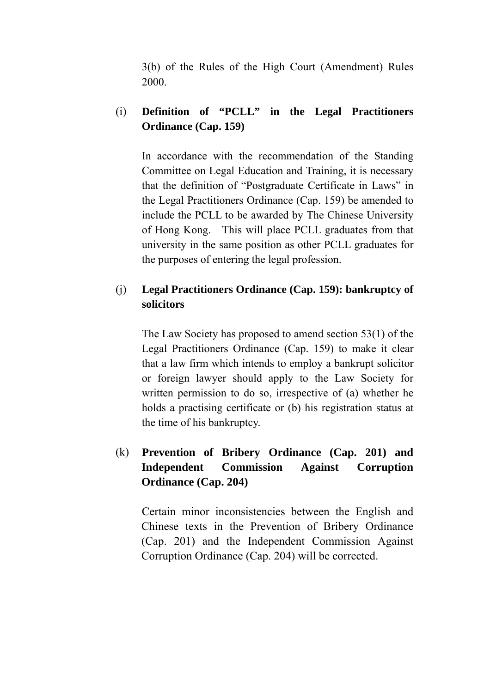3(b) of the Rules of the High Court (Amendment) Rules 2000.

# (i) **Definition of "PCLL" in the Legal Practitioners Ordinance (Cap. 159)**

In accordance with the recommendation of the Standing Committee on Legal Education and Training, it is necessary that the definition of "Postgraduate Certificate in Laws" in the Legal Practitioners Ordinance (Cap. 159) be amended to include the PCLL to be awarded by The Chinese University of Hong Kong. This will place PCLL graduates from that university in the same position as other PCLL graduates for the purposes of entering the legal profession.

# (j) **Legal Practitioners Ordinance (Cap. 159): bankruptcy of solicitors**

The Law Society has proposed to amend section 53(1) of the Legal Practitioners Ordinance (Cap. 159) to make it clear that a law firm which intends to employ a bankrupt solicitor or foreign lawyer should apply to the Law Society for written permission to do so, irrespective of (a) whether he holds a practising certificate or (b) his registration status at the time of his bankruptcy.

# (k) **Prevention of Bribery Ordinance (Cap. 201) and Independent Commission Against Corruption Ordinance (Cap. 204)**

 Certain minor inconsistencies between the English and Chinese texts in the Prevention of Bribery Ordinance (Cap. 201) and the Independent Commission Against Corruption Ordinance (Cap. 204) will be corrected.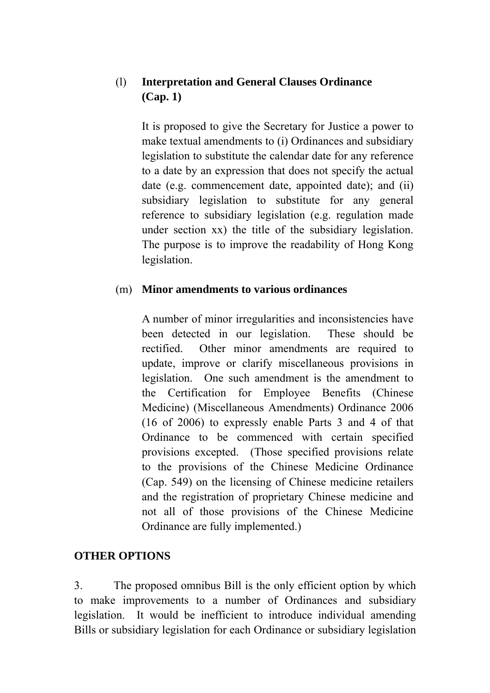# (l) **Interpretation and General Clauses Ordinance (Cap. 1)**

 It is proposed to give the Secretary for Justice a power to make textual amendments to (i) Ordinances and subsidiary legislation to substitute the calendar date for any reference to a date by an expression that does not specify the actual date (e.g. commencement date, appointed date); and (ii) subsidiary legislation to substitute for any general reference to subsidiary legislation (e.g. regulation made under section xx) the title of the subsidiary legislation. The purpose is to improve the readability of Hong Kong legislation.

## (m) **Minor amendments to various ordinances**

 A number of minor irregularities and inconsistencies have been detected in our legislation. These should be rectified. Other minor amendments are required to update, improve or clarify miscellaneous provisions in legislation. One such amendment is the amendment to the Certification for Employee Benefits (Chinese Medicine) (Miscellaneous Amendments) Ordinance 2006 (16 of 2006) to expressly enable Parts 3 and 4 of that Ordinance to be commenced with certain specified provisions excepted. (Those specified provisions relate to the provisions of the Chinese Medicine Ordinance (Cap. 549) on the licensing of Chinese medicine retailers and the registration of proprietary Chinese medicine and not all of those provisions of the Chinese Medicine Ordinance are fully implemented.)

# **OTHER OPTIONS**

3. The proposed omnibus Bill is the only efficient option by which to make improvements to a number of Ordinances and subsidiary legislation. It would be inefficient to introduce individual amending Bills or subsidiary legislation for each Ordinance or subsidiary legislation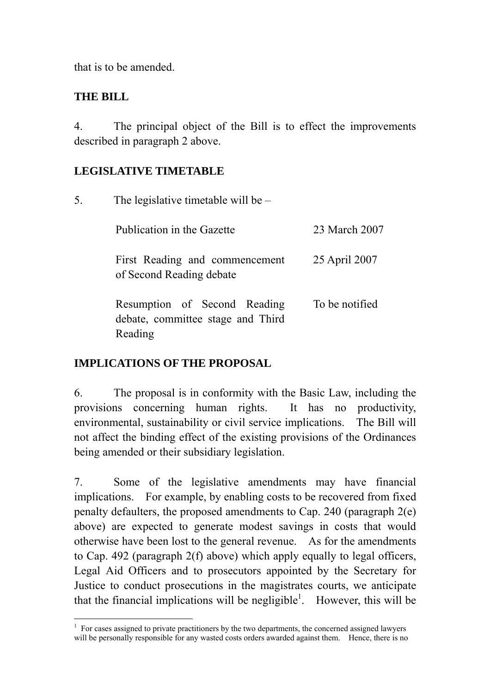that is to be amended.

# **THE BILL**

4. The principal object of the Bill is to effect the improvements described in paragraph 2 above.

# **LEGISLATIVE TIMETABLE**

| 5. | The legislative timetable will be $-$                                        |                |
|----|------------------------------------------------------------------------------|----------------|
|    | Publication in the Gazette                                                   | 23 March 2007  |
|    | First Reading and commencement<br>of Second Reading debate                   | 25 April 2007  |
|    | Resumption of Second Reading<br>debate, committee stage and Third<br>Reading | To be notified |

# **IMPLICATIONS OF THE PROPOSAL**

6. The proposal is in conformity with the Basic Law, including the provisions concerning human rights. It has no productivity, environmental, sustainability or civil service implications. The Bill will not affect the binding effect of the existing provisions of the Ordinances being amended or their subsidiary legislation.

7. Some of the legislative amendments may have financial implications. For example, by enabling costs to be recovered from fixed penalty defaulters, the proposed amendments to Cap. 240 (paragraph 2(e) above) are expected to generate modest savings in costs that would otherwise have been lost to the general revenue. As for the amendments to Cap. 492 (paragraph 2(f) above) which apply equally to legal officers, Legal Aid Officers and to prosecutors appointed by the Secretary for Justice to conduct prosecutions in the magistrates courts, we anticipate that the financial implications will be negligible<sup>1</sup>. However, this will be

 $\overline{a}$ 1 For cases assigned to private practitioners by the two departments, the concerned assigned lawyers will be personally responsible for any wasted costs orders awarded against them. Hence, there is no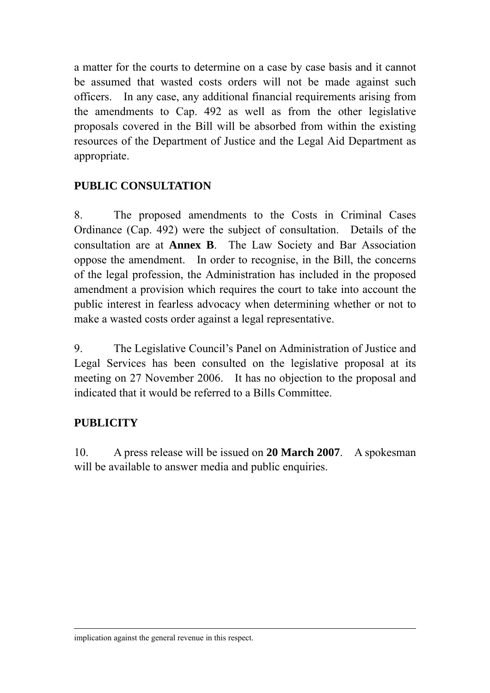a matter for the courts to determine on a case by case basis and it cannot be assumed that wasted costs orders will not be made against such officers. In any case, any additional financial requirements arising from the amendments to Cap. 492 as well as from the other legislative proposals covered in the Bill will be absorbed from within the existing resources of the Department of Justice and the Legal Aid Department as appropriate.

# **PUBLIC CONSULTATION**

8. The proposed amendments to the Costs in Criminal Cases Ordinance (Cap. 492) were the subject of consultation. Details of the consultation are at **Annex B**. The Law Society and Bar Association oppose the amendment. In order to recognise, in the Bill, the concerns of the legal profession, the Administration has included in the proposed amendment a provision which requires the court to take into account the public interest in fearless advocacy when determining whether or not to make a wasted costs order against a legal representative.

9. The Legislative Council's Panel on Administration of Justice and Legal Services has been consulted on the legislative proposal at its meeting on 27 November 2006. It has no objection to the proposal and indicated that it would be referred to a Bills Committee.

# **PUBLICITY**

10. A press release will be issued on **20 March 2007**. A spokesman will be available to answer media and public enquiries.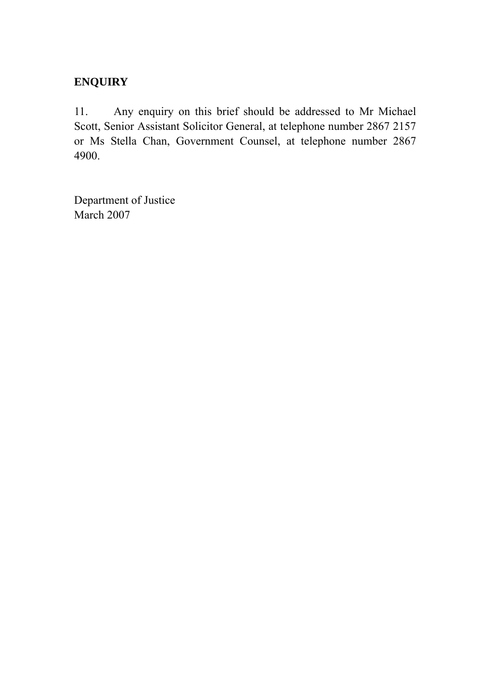# **ENQUIRY**

11. Any enquiry on this brief should be addressed to Mr Michael Scott, Senior Assistant Solicitor General, at telephone number 2867 2157 or Ms Stella Chan, Government Counsel, at telephone number 2867 4900.

Department of Justice March 2007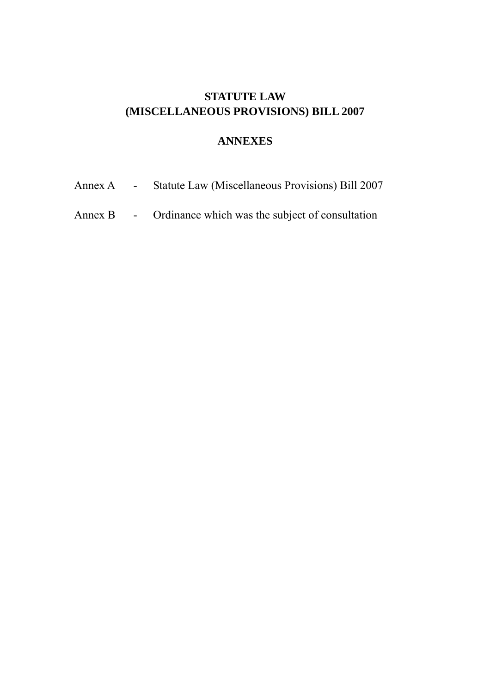# **STATUTE LAW (MISCELLANEOUS PROVISIONS) BILL 2007**

## **ANNEXES**

- Annex A Statute Law (Miscellaneous Provisions) Bill 2007
- Annex B Ordinance which was the subject of consultation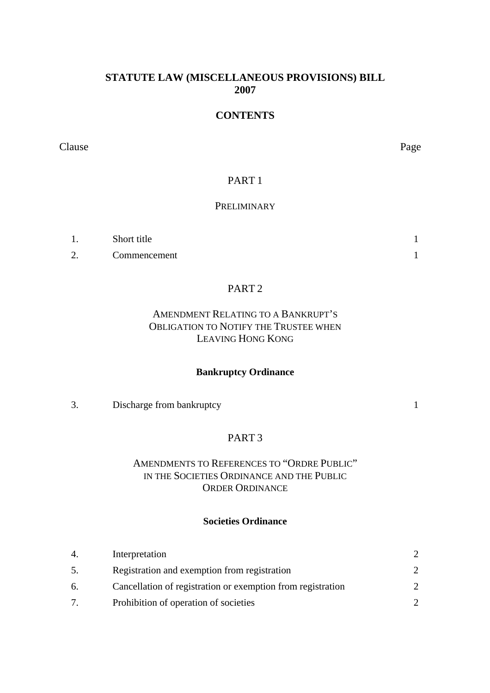## **STATUTE LAW (MISCELLANEOUS PROVISIONS) BILL 2007**

# **CONTENTS**

Clause Page

## PART 1

### **PRELIMINARY**

|   | Short title  |  |
|---|--------------|--|
| ി | Commencement |  |

## PART 2

## AMENDMENT RELATING TO A BANKRUPT'S OBLIGATION TO NOTIFY THE TRUSTEE WHEN LEAVING HONG KONG

#### **Bankruptcy Ordinance**

#### 3. Discharge from bankruptcy 1

## PART 3

### AMENDMENTS TO REFERENCES TO "ORDRE PUBLIC" IN THE SOCIETIES ORDINANCE AND THE PUBLIC ORDER ORDINANCE

#### **Societies Ordinance**

| 4. | Interpretation                                              |  |
|----|-------------------------------------------------------------|--|
| 5. | Registration and exemption from registration                |  |
| 6. | Cancellation of registration or exemption from registration |  |
|    | Prohibition of operation of societies                       |  |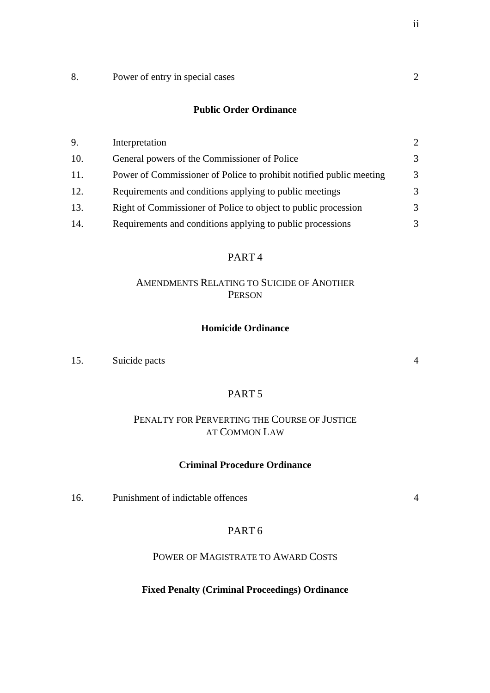8. Power of entry in special cases 2

#### **Public Order Ordinance**

| 9.  | Interpretation                                                      |   |
|-----|---------------------------------------------------------------------|---|
| 10. | General powers of the Commissioner of Police                        | 3 |
| 11. | Power of Commissioner of Police to prohibit notified public meeting | 3 |
| 12. | Requirements and conditions applying to public meetings             | 3 |
| 13. | Right of Commissioner of Police to object to public procession      | 3 |
| 14. | Requirements and conditions applying to public processions          | 3 |

### PART 4

### AMENDMENTS RELATING TO SUICIDE OF ANOTHER PERSON

#### **Homicide Ordinance**

15. Suicide pacts 4

#### PART 5

### PENALTY FOR PERVERTING THE COURSE OF JUSTICE AT COMMON LAW

#### **Criminal Procedure Ordinance**

16. Punishment of indictable offences 4

### PART 6

POWER OF MAGISTRATE TO AWARD COSTS

#### **Fixed Penalty (Criminal Proceedings) Ordinance**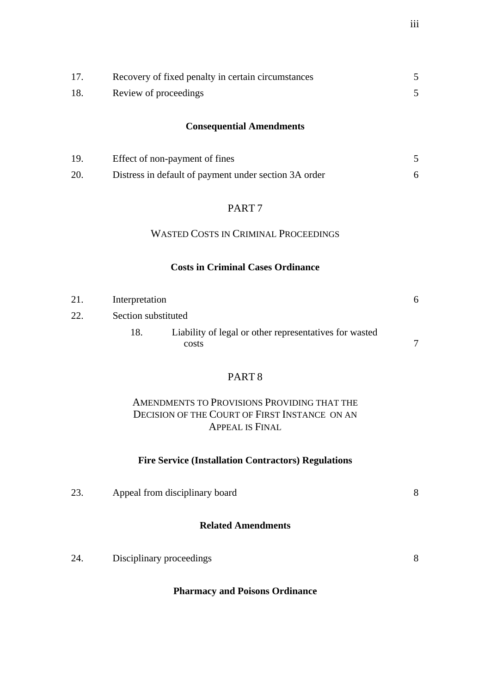|     | Recovery of fixed penalty in certain circumstances |  |
|-----|----------------------------------------------------|--|
| 18. | Review of proceedings                              |  |

## **Consequential Amendments**

| 19  | Effect of non-payment of fines                        |  |
|-----|-------------------------------------------------------|--|
| 20. | Distress in default of payment under section 3A order |  |

## PART 7

## WASTED COSTS IN CRIMINAL PROCEEDINGS

#### **Costs in Criminal Cases Ordinance**

| 21. | Interpretation      |                                                        | h. |
|-----|---------------------|--------------------------------------------------------|----|
| 22. | Section substituted |                                                        |    |
|     | 18.                 | Liability of legal or other representatives for wasted |    |
|     |                     | costs                                                  |    |

## PART 8

## AMENDMENTS TO PROVISIONS PROVIDING THAT THE DECISION OF THE COURT OF FIRST INSTANCE ON AN APPEAL IS FINAL

#### **Fire Service (Installation Contractors) Regulations**

| 23. | Appeal from disciplinary board | 8 |
|-----|--------------------------------|---|
|     | <b>Related Amendments</b>      |   |
| 24. | Disciplinary proceedings       | 8 |

## **Pharmacy and Poisons Ordinance**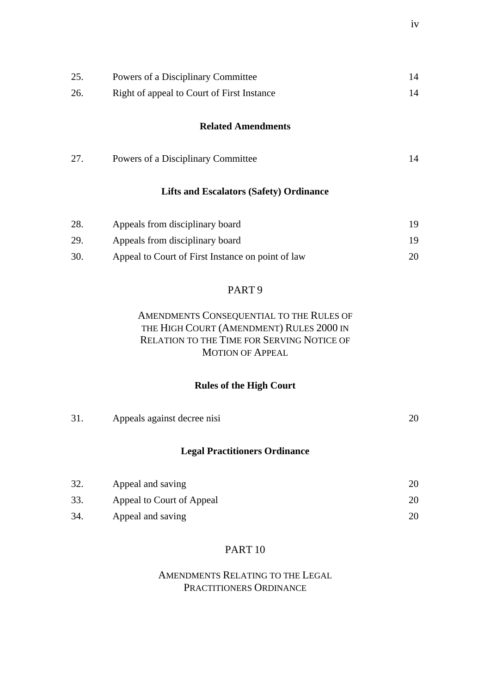| 25.<br>26. | Powers of a Disciplinary Committee<br>Right of appeal to Court of First Instance | 14<br>14 |
|------------|----------------------------------------------------------------------------------|----------|
|            | <b>Related Amendments</b>                                                        |          |
| 27.        | Powers of a Disciplinary Committee                                               | 14       |
|            | <b>Lifts and Escalators (Safety) Ordinance</b>                                   |          |
| 28.        | Appeals from disciplinary board                                                  | 19       |
| 29.        | Appeals from disciplinary board                                                  | 19       |
| 30.        | Appeal to Court of First Instance on point of law                                | 20       |

## PART 9

## AMENDMENTS CONSEQUENTIAL TO THE RULES OF THE HIGH COURT (AMENDMENT) RULES 2000 IN RELATION TO THE TIME FOR SERVING NOTICE OF MOTION OF APPEAL

## **Rules of the High Court**

| 31. | Appeals against decree nisi          | 20 |
|-----|--------------------------------------|----|
|     | <b>Legal Practitioners Ordinance</b> |    |
| 32. | Appeal and saving                    | 20 |
| 33. | Appeal to Court of Appeal            | 20 |
| 34. | Appeal and saving                    | 20 |

## PART 10

## AMENDMENTS RELATING TO THE LEGAL PRACTITIONERS ORDINANCE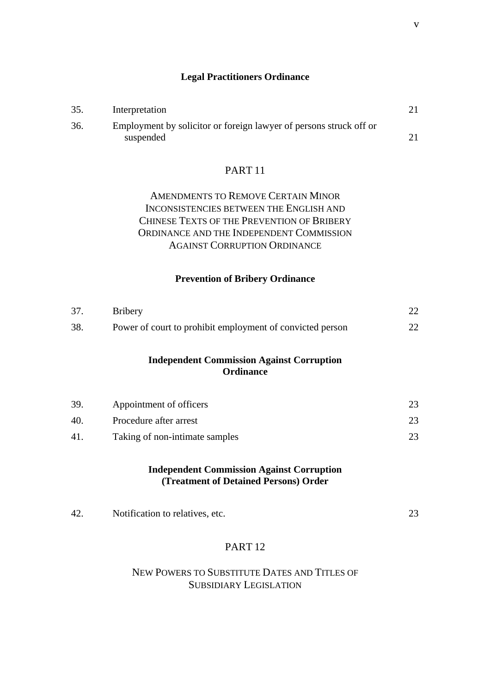#### **Legal Practitioners Ordinance**

| 35. | Interpretation                                                     |  |
|-----|--------------------------------------------------------------------|--|
| 36. | Employment by solicitor or foreign lawyer of persons struck off or |  |
|     | suspended                                                          |  |

### PART 11

## AMENDMENTS TO REMOVE CERTAIN MINOR INCONSISTENCIES BETWEEN THE ENGLISH AND CHINESE TEXTS OF THE PREVENTION OF BRIBERY ORDINANCE AND THE INDEPENDENT COMMISSION AGAINST CORRUPTION ORDINANCE

#### **Prevention of Bribery Ordinance**

| 37. | <b>Bribery</b>                                                       | 22 |
|-----|----------------------------------------------------------------------|----|
| 38. | Power of court to prohibit employment of convicted person            | 22 |
|     | <b>Independent Commission Against Corruption</b><br><b>Ordinance</b> |    |
| 39. | Appointment of officers                                              | 23 |
| 40. | Procedure after arrest                                               | 23 |
| 41. | Taking of non-intimate samples                                       | 23 |

#### **Independent Commission Against Corruption (Treatment of Detained Persons) Order**

| 42 | Notification to relatives, etc. |  |
|----|---------------------------------|--|
|    |                                 |  |

### PART 12

## NEW POWERS TO SUBSTITUTE DATES AND TITLES OF SUBSIDIARY LEGISLATION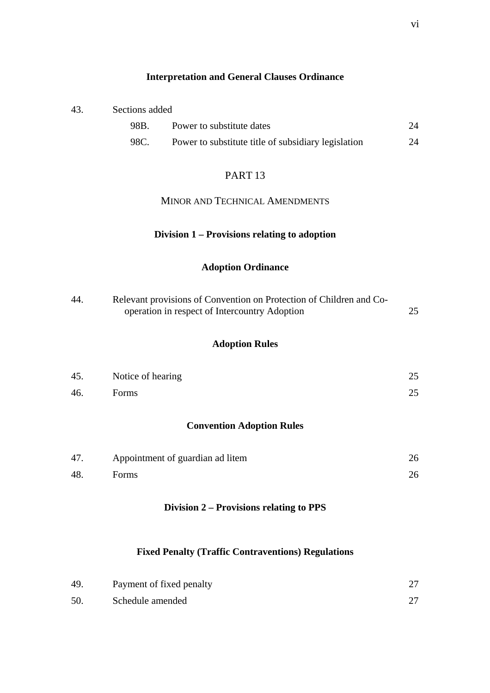### **Interpretation and General Clauses Ordinance**

| Sections added<br>43. |
|-----------------------|
|-----------------------|

| 98B. | Power to substitute dates                           | 24 |
|------|-----------------------------------------------------|----|
| 98C. | Power to substitute title of subsidiary legislation | 24 |

### PART 13

### MINOR AND TECHNICAL AMENDMENTS

## **Division 1 – Provisions relating to adoption**

## **Adoption Ordinance**

| Relevant provisions of Convention on Protection of Children and Co-<br>44. |                                               |  |
|----------------------------------------------------------------------------|-----------------------------------------------|--|
|                                                                            | operation in respect of Intercountry Adoption |  |

## **Adoption Rules**

| 45. | Notice of hearing | 25 |
|-----|-------------------|----|
| 46. | Forms             | 25 |

## **Convention Adoption Rules**

| 47. | Appointment of guardian ad litem |  |
|-----|----------------------------------|--|
| 48. | Forms                            |  |

## **Division 2 – Provisions relating to PPS**

## **Fixed Penalty (Traffic Contraventions) Regulations**

| 49 | Payment of fixed penalty |  |
|----|--------------------------|--|
| 50 | Schedule amended         |  |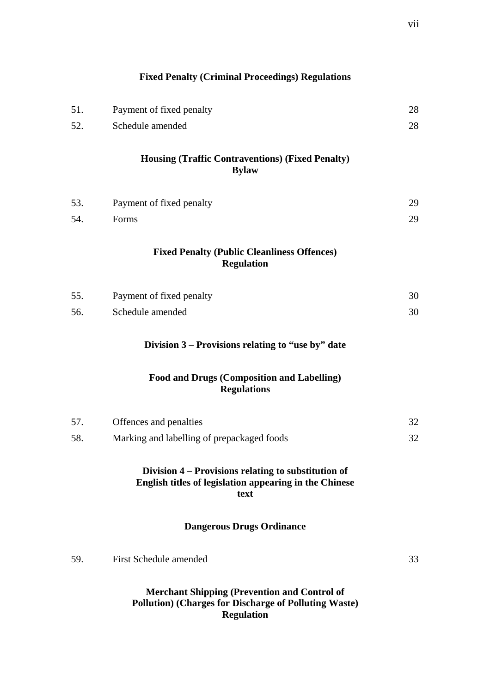|     | <b>Fixed Penalty (Criminal Proceedings) Regulations</b>                                                               |    |
|-----|-----------------------------------------------------------------------------------------------------------------------|----|
| 51. | Payment of fixed penalty                                                                                              | 28 |
| 52. | Schedule amended                                                                                                      | 28 |
|     | <b>Housing (Traffic Contraventions) (Fixed Penalty)</b><br><b>Bylaw</b>                                               |    |
| 53. | Payment of fixed penalty                                                                                              | 29 |
| 54. | Forms                                                                                                                 | 29 |
|     | <b>Fixed Penalty (Public Cleanliness Offences)</b><br><b>Regulation</b>                                               |    |
| 55. | Payment of fixed penalty                                                                                              | 30 |
| 56. | Schedule amended                                                                                                      | 30 |
|     | Division 3 – Provisions relating to "use by" date                                                                     |    |
|     | <b>Food and Drugs (Composition and Labelling)</b><br><b>Regulations</b>                                               |    |
| 57. | Offences and penalties                                                                                                | 32 |
| 58. | Marking and labelling of prepackaged foods                                                                            | 32 |
|     | Division 4 – Provisions relating to substitution of<br>English titles of legislation appearing in the Chinese<br>text |    |
|     | <b>Dangerous Drugs Ordinance</b>                                                                                      |    |
| 59. | <b>First Schedule amended</b>                                                                                         | 33 |
|     | <b>Merchant Shipping (Prevention and Control of</b><br><b>Pollution) (Charges for Discharge of Polluting Waste)</b>   |    |

**Regulation**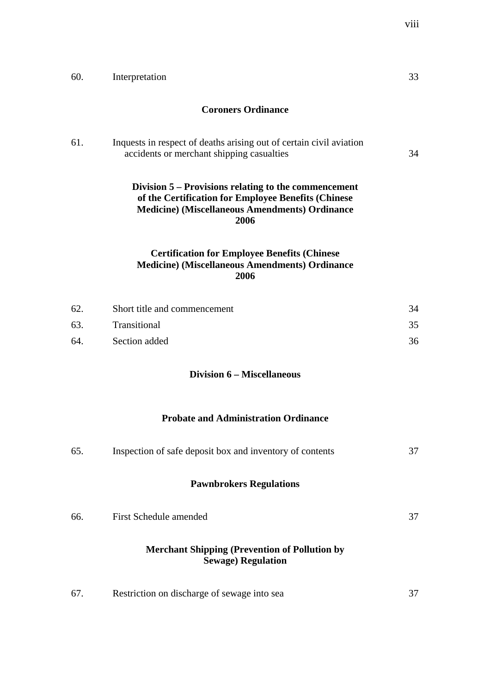| 60. | Interpretation                                                                                                                                                               | 33 |
|-----|------------------------------------------------------------------------------------------------------------------------------------------------------------------------------|----|
|     | <b>Coroners Ordinance</b>                                                                                                                                                    |    |
| 61. | Inquests in respect of deaths arising out of certain civil aviation<br>accidents or merchant shipping casualties                                                             | 34 |
|     | Division 5 – Provisions relating to the commencement<br>of the Certification for Employee Benefits (Chinese<br><b>Medicine)</b> (Miscellaneous Amendments) Ordinance<br>2006 |    |
|     | <b>Certification for Employee Benefits (Chinese</b><br><b>Medicine)</b> (Miscellaneous Amendments) Ordinance<br>2006                                                         |    |
| 62. | Short title and commencement                                                                                                                                                 | 34 |
| 63. | Transitional                                                                                                                                                                 | 35 |
| 64. | Section added                                                                                                                                                                | 36 |
|     | <b>Division 6 – Miscellaneous</b>                                                                                                                                            |    |
|     | <b>Probate and Administration Ordinance</b>                                                                                                                                  |    |
| 65. | Inspection of safe deposit box and inventory of contents                                                                                                                     | 37 |
|     | <b>Pawnbrokers Regulations</b>                                                                                                                                               |    |
| 66. | <b>First Schedule amended</b>                                                                                                                                                | 37 |
|     | <b>Merchant Shipping (Prevention of Pollution by</b><br><b>Sewage) Regulation</b>                                                                                            |    |
| 67. | Restriction on discharge of sewage into sea                                                                                                                                  | 37 |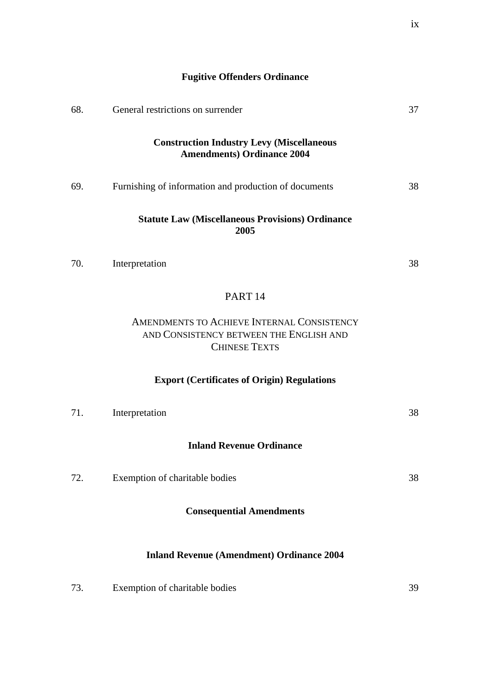| 68. | General restrictions on surrender                                                                             | 37 |
|-----|---------------------------------------------------------------------------------------------------------------|----|
|     | <b>Construction Industry Levy (Miscellaneous</b><br><b>Amendments) Ordinance 2004</b>                         |    |
| 69. | Furnishing of information and production of documents                                                         | 38 |
|     | <b>Statute Law (Miscellaneous Provisions) Ordinance</b><br>2005                                               |    |
| 70. | Interpretation                                                                                                | 38 |
|     | PART <sub>14</sub>                                                                                            |    |
|     | AMENDMENTS TO ACHIEVE INTERNAL CONSISTENCY<br>AND CONSISTENCY BETWEEN THE ENGLISH AND<br><b>CHINESE TEXTS</b> |    |

**Fugitive Offenders Ordinance**

# **Export (Certificates of Origin) Regulations**

| 71. | Interpretation                                   | 38 |
|-----|--------------------------------------------------|----|
|     | <b>Inland Revenue Ordinance</b>                  |    |
| 72. | Exemption of charitable bodies                   | 38 |
|     | <b>Consequential Amendments</b>                  |    |
|     | <b>Inland Revenue (Amendment) Ordinance 2004</b> |    |

| 73. | Exemption of charitable bodies |  |
|-----|--------------------------------|--|
|-----|--------------------------------|--|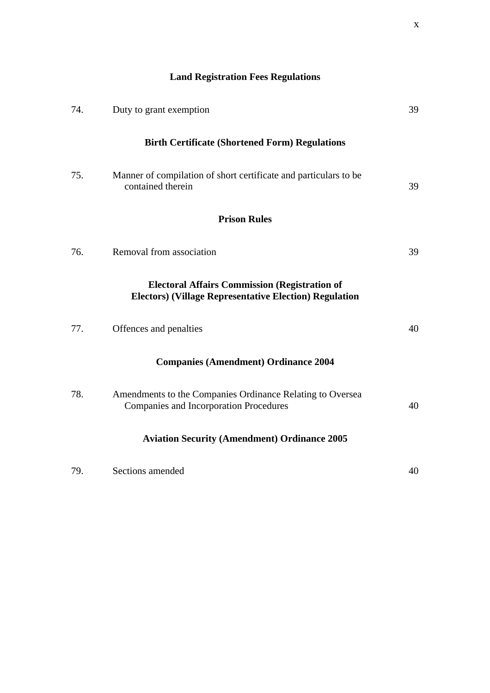# **Land Registration Fees Regulations**

| 74. | Duty to grant exemption                                                                                               | 39 |
|-----|-----------------------------------------------------------------------------------------------------------------------|----|
|     | <b>Birth Certificate (Shortened Form) Regulations</b>                                                                 |    |
| 75. | Manner of compilation of short certificate and particulars to be<br>contained therein                                 | 39 |
|     | <b>Prison Rules</b>                                                                                                   |    |
| 76. | Removal from association                                                                                              | 39 |
|     | <b>Electoral Affairs Commission (Registration of</b><br><b>Electors) (Village Representative Election) Regulation</b> |    |
| 77. | Offences and penalties                                                                                                | 40 |
|     | <b>Companies (Amendment) Ordinance 2004</b>                                                                           |    |
| 78. | Amendments to the Companies Ordinance Relating to Oversea<br><b>Companies and Incorporation Procedures</b>            | 40 |
|     | <b>Aviation Security (Amendment) Ordinance 2005</b>                                                                   |    |
| 79. | Sections amended                                                                                                      | 40 |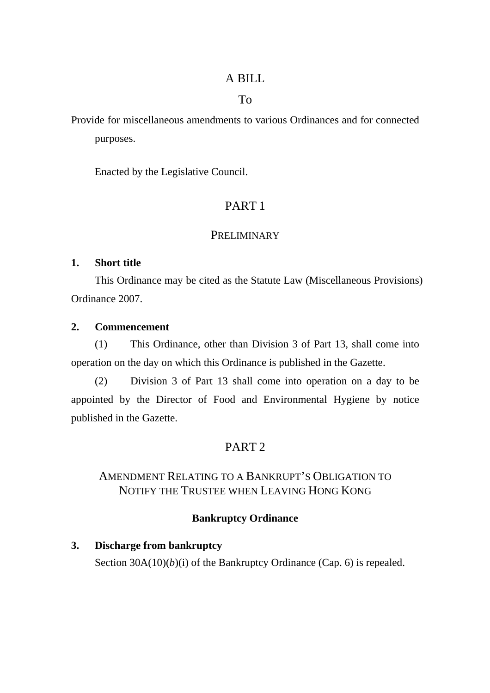## A BILL

## To

Provide for miscellaneous amendments to various Ordinances and for connected purposes.

Enacted by the Legislative Council.

# PART 1

## **PRELIMINARY**

## **1. Short title**

This Ordinance may be cited as the Statute Law (Miscellaneous Provisions) Ordinance 2007.

## **2. Commencement**

(1) This Ordinance, other than Division 3 of Part 13, shall come into operation on the day on which this Ordinance is published in the Gazette.

(2) Division 3 of Part 13 shall come into operation on a day to be appointed by the Director of Food and Environmental Hygiene by notice published in the Gazette.

# PART 2

# AMENDMENT RELATING TO A BANKRUPT'S OBLIGATION TO NOTIFY THE TRUSTEE WHEN LEAVING HONG KONG

## **Bankruptcy Ordinance**

# **3. Discharge from bankruptcy**  Section 30A(10)(*b*)(*i*) of the Bankruptcy Ordinance (Cap. 6) is repealed.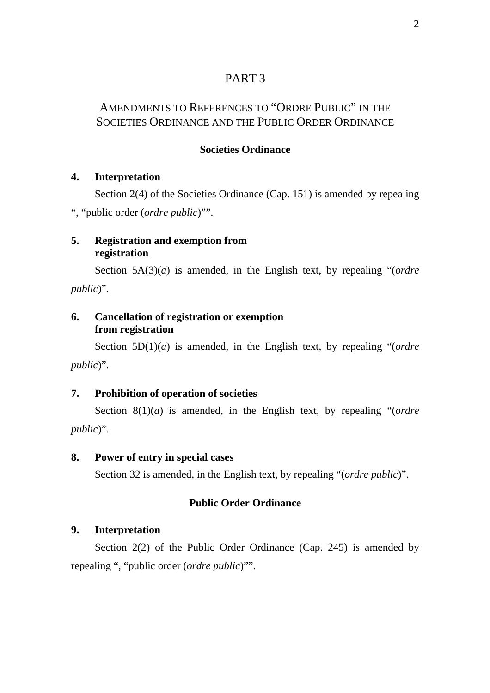## PART 3

# AMENDMENTS TO REFERENCES TO "ORDRE PUBLIC" IN THE SOCIETIES ORDINANCE AND THE PUBLIC ORDER ORDINANCE

## **Societies Ordinance**

## **4. Interpretation**

Section 2(4) of the Societies Ordinance (Cap. 151) is amended by repealing ", "public order (*ordre public*)"".

## **5. Registration and exemption from registration**

Section 5A(3)(*a*) is amended, in the English text, by repealing "(*ordre public*)".

## **6. Cancellation of registration or exemption from registration**

Section 5D(1)(*a*) is amended, in the English text, by repealing "(*ordre public*)".

## **7. Prohibition of operation of societies**

Section 8(1)(*a*) is amended, in the English text, by repealing "(*ordre public*)".

## **8. Power of entry in special cases**

Section 32 is amended, in the English text, by repealing "(*ordre public*)".

## **Public Order Ordinance**

## **9. Interpretation**

Section 2(2) of the Public Order Ordinance (Cap. 245) is amended by repealing ", "public order (*ordre public*)"".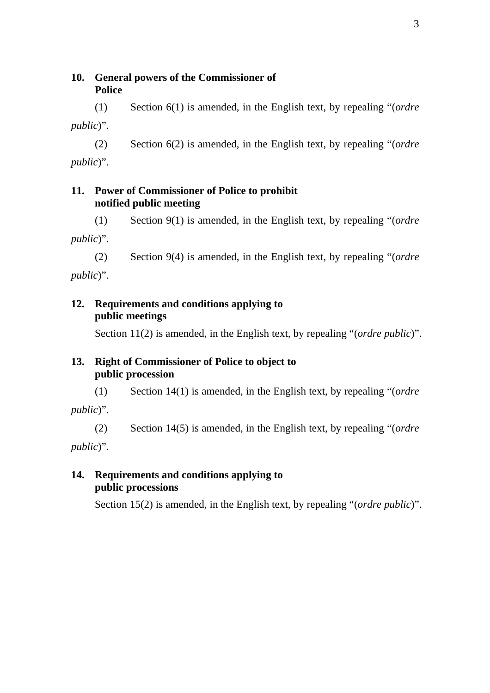## **10. General powers of the Commissioner of Police**

(1) Section 6(1) is amended, in the English text, by repealing "(*ordre public*)".

(2) Section 6(2) is amended, in the English text, by repealing "(*ordre public*)".

## **11. Power of Commissioner of Police to prohibit notified public meeting**

(1) Section 9(1) is amended, in the English text, by repealing "(*ordre public*)".

(2) Section 9(4) is amended, in the English text, by repealing "(*ordre public*)".

## **12. Requirements and conditions applying to public meetings**

Section 11(2) is amended, in the English text, by repealing "(*ordre public*)".

## **13. Right of Commissioner of Police to object to public procession**

(1) Section 14(1) is amended, in the English text, by repealing "(*ordre public*)".

(2) Section 14(5) is amended, in the English text, by repealing "(*ordre public*)".

## **14. Requirements and conditions applying to public processions**

Section 15(2) is amended, in the English text, by repealing "(*ordre public*)".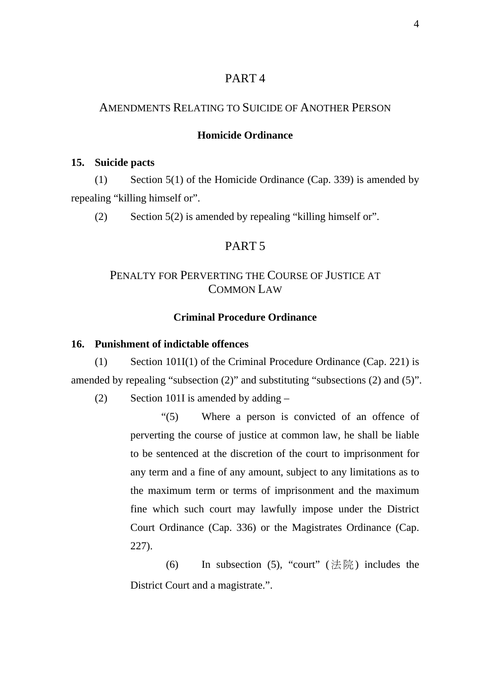## PART 4

## AMENDMENTS RELATING TO SUICIDE OF ANOTHER PERSON

### **Homicide Ordinance**

#### **15. Suicide pacts**

(1) Section 5(1) of the Homicide Ordinance (Cap. 339) is amended by repealing "killing himself or".

(2) Section 5(2) is amended by repealing "killing himself or".

## PART 5

## PENALTY FOR PERVERTING THE COURSE OF JUSTICE AT COMMON LAW

### **Criminal Procedure Ordinance**

### **16. Punishment of indictable offences**

(1) Section 101I(1) of the Criminal Procedure Ordinance (Cap. 221) is amended by repealing "subsection (2)" and substituting "subsections (2) and (5)".

(2) Section 101I is amended by adding  $-$ 

"(5) Where a person is convicted of an offence of perverting the course of justice at common law, he shall be liable to be sentenced at the discretion of the court to imprisonment for any term and a fine of any amount, subject to any limitations as to the maximum term or terms of imprisonment and the maximum fine which such court may lawfully impose under the District Court Ordinance (Cap. 336) or the Magistrates Ordinance (Cap. 227).

(6) In subsection (5), "court" (法院) includes the District Court and a magistrate.".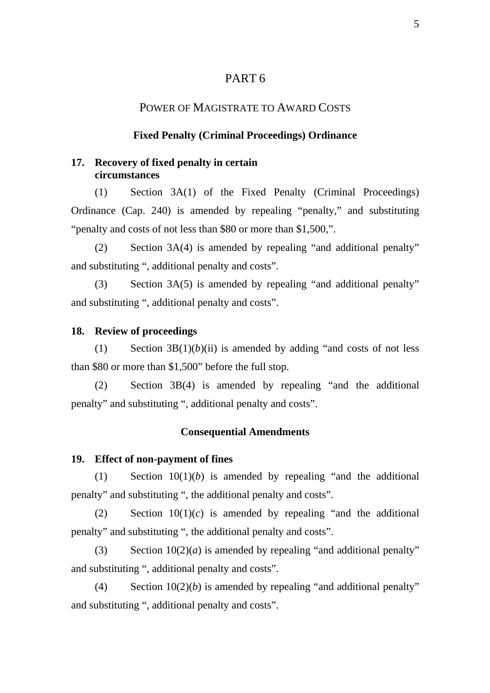## PART 6

### POWER OF MAGISTRATE TO AWARD COSTS

#### **Fixed Penalty (Criminal Proceedings) Ordinance**

## **17. Recovery of fixed penalty in certain circumstances**

(1) Section 3A(1) of the Fixed Penalty (Criminal Proceedings) Ordinance (Cap. 240) is amended by repealing "penalty," and substituting "penalty and costs of not less than \$80 or more than \$1,500,".

(2) Section 3A(4) is amended by repealing "and additional penalty" and substituting ", additional penalty and costs".

(3) Section 3A(5) is amended by repealing "and additional penalty" and substituting ", additional penalty and costs".

#### **18. Review of proceedings**

(1) Section  $3B(1)(b)(ii)$  is amended by adding "and costs of not less than \$80 or more than \$1,500" before the full stop.

(2) Section 3B(4) is amended by repealing "and the additional penalty" and substituting ", additional penalty and costs".

#### **Consequential Amendments**

#### **19. Effect of non-payment of fines**

(1) Section 10(1)(*b*) is amended by repealing "and the additional penalty" and substituting ", the additional penalty and costs".

 $(2)$  Section  $10(1)(c)$  is amended by repealing "and the additional penalty" and substituting ", the additional penalty and costs".

(3) Section  $10(2)(a)$  is amended by repealing "and additional penalty" and substituting ", additional penalty and costs".

(4) Section  $10(2)(b)$  is amended by repealing "and additional penalty" and substituting ", additional penalty and costs".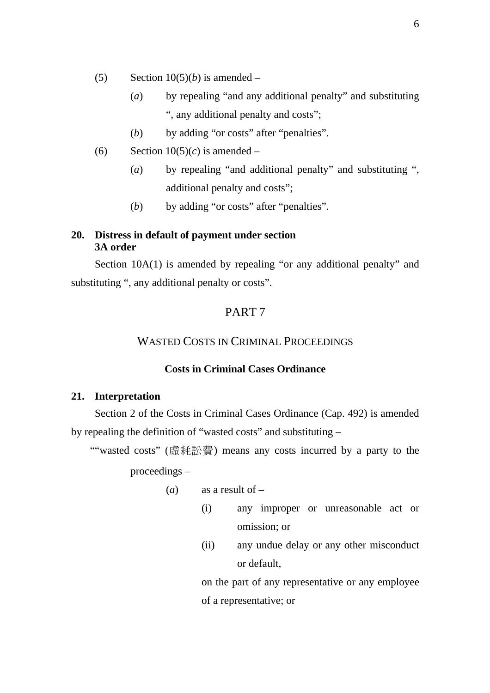- (5) Section  $10(5)(b)$  is amended
	- (*a*) by repealing "and any additional penalty" and substituting ", any additional penalty and costs";
	- (*b*) by adding "or costs" after "penalties".
- (6) Section  $10(5)(c)$  is amended
	- (*a*) by repealing "and additional penalty" and substituting ", additional penalty and costs";
	- (*b*) by adding "or costs" after "penalties".

## **20. Distress in default of payment under section 3A order**

Section 10A(1) is amended by repealing "or any additional penalty" and substituting ", any additional penalty or costs".

## PART 7

## WASTED COSTS IN CRIMINAL PROCEEDINGS

## **Costs in Criminal Cases Ordinance**

#### **21. Interpretation**

Section 2 of the Costs in Criminal Cases Ordinance (Cap. 492) is amended by repealing the definition of "wasted costs" and substituting –

""wasted costs" (虛耗訟費) means any costs incurred by a party to the proceedings –

- (*a*) as a result of
	- (i) any improper or unreasonable act or omission; or
	- (ii) any undue delay or any other misconduct or default,

on the part of any representative or any employee of a representative; or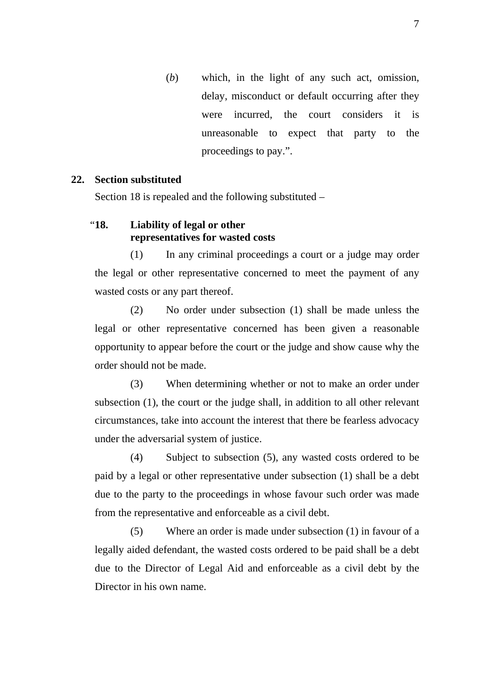(*b*) which, in the light of any such act, omission, delay, misconduct or default occurring after they were incurred, the court considers it is unreasonable to expect that party to the proceedings to pay.".

### **22. Section substituted**

Section 18 is repealed and the following substituted –

## "**18. Liability of legal or other representatives for wasted costs**

(1) In any criminal proceedings a court or a judge may order the legal or other representative concerned to meet the payment of any wasted costs or any part thereof.

(2) No order under subsection (1) shall be made unless the legal or other representative concerned has been given a reasonable opportunity to appear before the court or the judge and show cause why the order should not be made.

(3) When determining whether or not to make an order under subsection (1), the court or the judge shall, in addition to all other relevant circumstances, take into account the interest that there be fearless advocacy under the adversarial system of justice.

(4) Subject to subsection (5), any wasted costs ordered to be paid by a legal or other representative under subsection (1) shall be a debt due to the party to the proceedings in whose favour such order was made from the representative and enforceable as a civil debt.

(5) Where an order is made under subsection (1) in favour of a legally aided defendant, the wasted costs ordered to be paid shall be a debt due to the Director of Legal Aid and enforceable as a civil debt by the Director in his own name.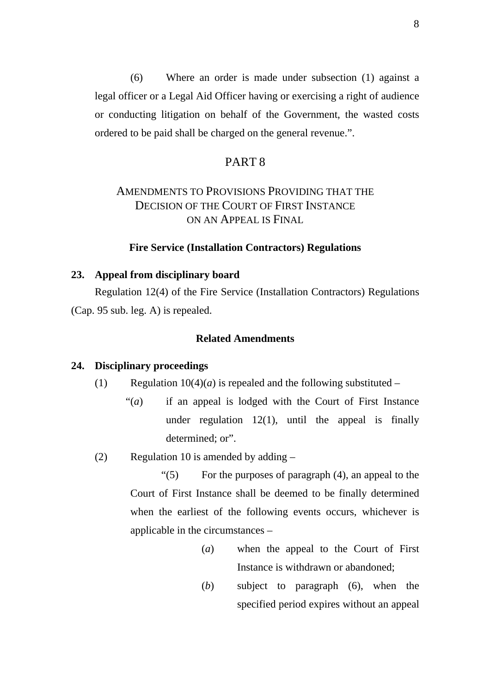(6) Where an order is made under subsection (1) against a legal officer or a Legal Aid Officer having or exercising a right of audience or conducting litigation on behalf of the Government, the wasted costs ordered to be paid shall be charged on the general revenue.".

### PART 8

# AMENDMENTS TO PROVISIONS PROVIDING THAT THE DECISION OF THE COURT OF FIRST INSTANCE ON AN APPEAL IS FINAL

#### **Fire Service (Installation Contractors) Regulations**

#### **23. Appeal from disciplinary board**

Regulation 12(4) of the Fire Service (Installation Contractors) Regulations (Cap. 95 sub. leg. A) is repealed.

### **Related Amendments**

#### **24. Disciplinary proceedings**

- (1) Regulation  $10(4)(a)$  is repealed and the following substituted
	- "(*a*) if an appeal is lodged with the Court of First Instance under regulation  $12(1)$ , until the appeal is finally determined: or".
- (2) Regulation 10 is amended by adding –

"(5) For the purposes of paragraph (4), an appeal to the Court of First Instance shall be deemed to be finally determined when the earliest of the following events occurs, whichever is applicable in the circumstances –

- (*a*) when the appeal to the Court of First Instance is withdrawn or abandoned;
- (*b*) subject to paragraph (6), when the specified period expires without an appeal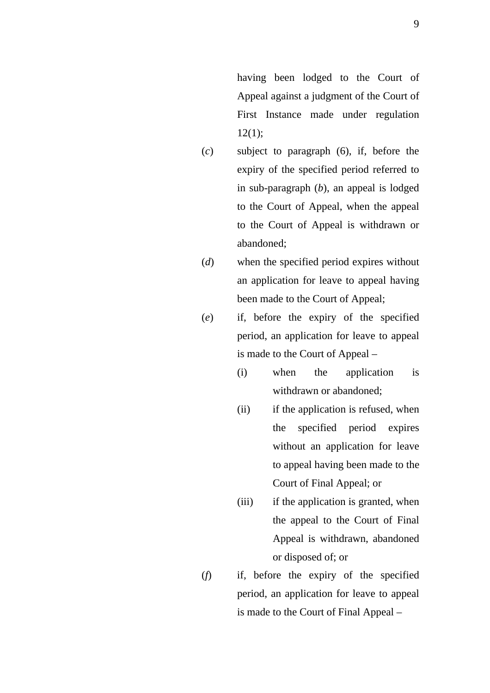having been lodged to the Court of Appeal against a judgment of the Court of First Instance made under regulation  $12(1)$ ;

- (*c*) subject to paragraph (6), if, before the expiry of the specified period referred to in sub-paragraph (*b*), an appeal is lodged to the Court of Appeal, when the appeal to the Court of Appeal is withdrawn or abandoned;
- (*d*) when the specified period expires without an application for leave to appeal having been made to the Court of Appeal;
- (*e*) if, before the expiry of the specified period, an application for leave to appeal is made to the Court of Appeal –
	- (i) when the application is withdrawn or abandoned;
	- (ii) if the application is refused, when the specified period expires without an application for leave to appeal having been made to the Court of Final Appeal; or
	- (iii) if the application is granted, when the appeal to the Court of Final Appeal is withdrawn, abandoned or disposed of; or
- (*f*) if, before the expiry of the specified period, an application for leave to appeal is made to the Court of Final Appeal –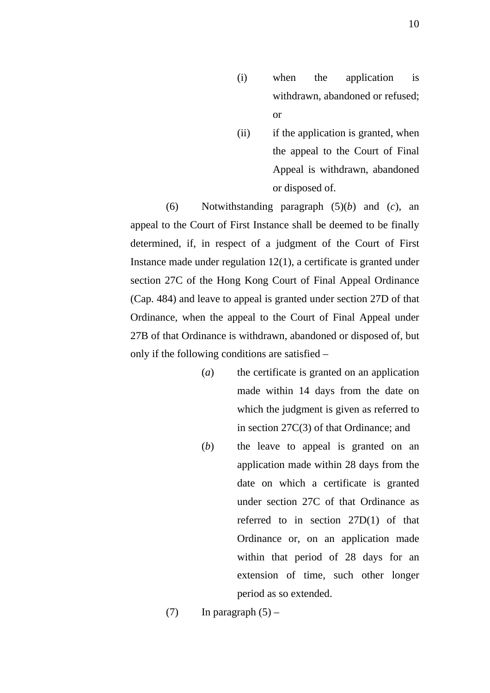- (i) when the application is withdrawn, abandoned or refused; or
- (ii) if the application is granted, when the appeal to the Court of Final Appeal is withdrawn, abandoned or disposed of.

(6) Notwithstanding paragraph (5)(*b*) and (*c*), an appeal to the Court of First Instance shall be deemed to be finally determined, if, in respect of a judgment of the Court of First Instance made under regulation 12(1), a certificate is granted under section 27C of the Hong Kong Court of Final Appeal Ordinance (Cap. 484) and leave to appeal is granted under section 27D of that Ordinance, when the appeal to the Court of Final Appeal under 27B of that Ordinance is withdrawn, abandoned or disposed of, but only if the following conditions are satisfied –

- (*a*) the certificate is granted on an application made within 14 days from the date on which the judgment is given as referred to in section 27C(3) of that Ordinance; and
- (*b*) the leave to appeal is granted on an application made within 28 days from the date on which a certificate is granted under section 27C of that Ordinance as referred to in section 27D(1) of that Ordinance or, on an application made within that period of 28 days for an extension of time, such other longer period as so extended.

(7) In paragraph  $(5)$  –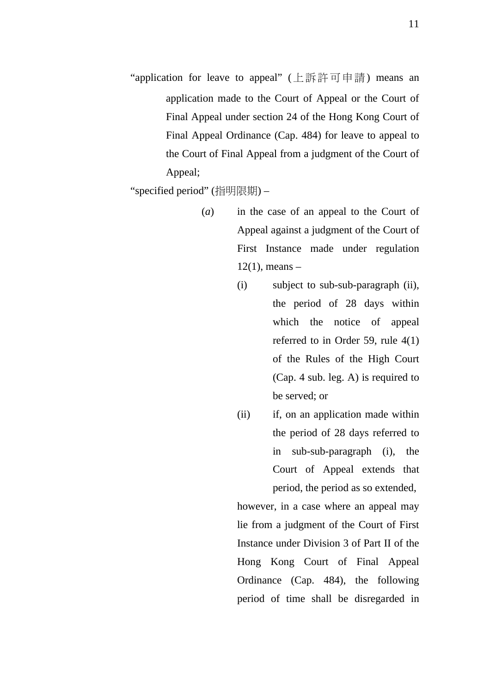"application for leave to appeal" (上訴許可申請) means an application made to the Court of Appeal or the Court of Final Appeal under section 24 of the Hong Kong Court of Final Appeal Ordinance (Cap. 484) for leave to appeal to the Court of Final Appeal from a judgment of the Court of Appeal;

"specified period" (指明限期) –

- (*a*) in the case of an appeal to the Court of Appeal against a judgment of the Court of First Instance made under regulation  $12(1)$ , means –
	- (i) subject to sub-sub-paragraph (ii), the period of 28 days within which the notice of appeal referred to in Order 59, rule 4(1) of the Rules of the High Court (Cap. 4 sub. leg. A) is required to be served; or
	- (ii) if, on an application made within the period of 28 days referred to in sub-sub-paragraph (i), the Court of Appeal extends that period, the period as so extended,

however, in a case where an appeal may lie from a judgment of the Court of First Instance under Division 3 of Part II of the Hong Kong Court of Final Appeal Ordinance (Cap. 484), the following period of time shall be disregarded in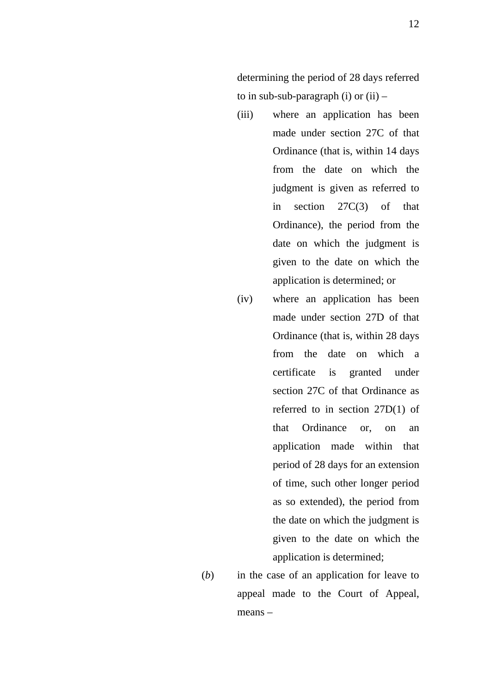determining the period of 28 days referred to in sub-sub-paragraph (i) or  $(ii)$  –

- (iii) where an application has been made under section 27C of that Ordinance (that is, within 14 days from the date on which the judgment is given as referred to in section 27C(3) of that Ordinance), the period from the date on which the judgment is given to the date on which the application is determined; or
- (iv) where an application has been made under section 27D of that Ordinance (that is, within 28 days from the date on which a certificate is granted under section 27C of that Ordinance as referred to in section 27D(1) of that Ordinance or, on an application made within that period of 28 days for an extension of time, such other longer period as so extended), the period from the date on which the judgment is given to the date on which the application is determined;
- (*b*) in the case of an application for leave to appeal made to the Court of Appeal, means –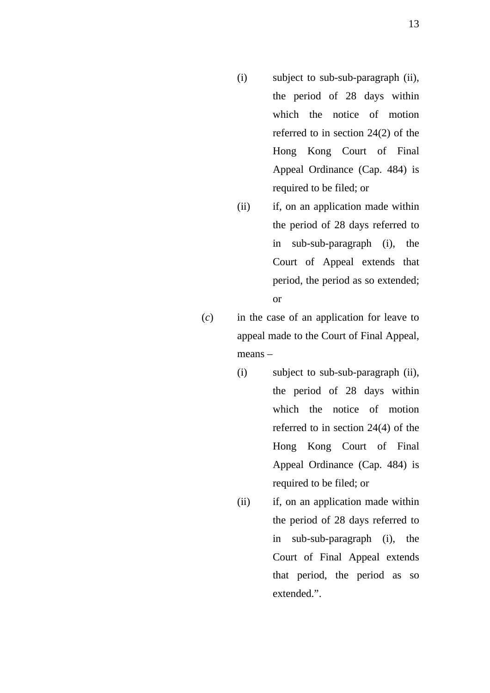- (i) subject to sub-sub-paragraph (ii), the period of 28 days within which the notice of motion referred to in section 24(2) of the Hong Kong Court of Final Appeal Ordinance (Cap. 484) is required to be filed; or
- (ii) if, on an application made within the period of 28 days referred to in sub-sub-paragraph (i), the Court of Appeal extends that period, the period as so extended; or
- (*c*) in the case of an application for leave to appeal made to the Court of Final Appeal, means –
	- (i) subject to sub-sub-paragraph (ii), the period of 28 days within which the notice of motion referred to in section 24(4) of the Hong Kong Court of Final Appeal Ordinance (Cap. 484) is required to be filed; or
	- (ii) if, on an application made within the period of 28 days referred to in sub-sub-paragraph (i), the Court of Final Appeal extends that period, the period as so extended.".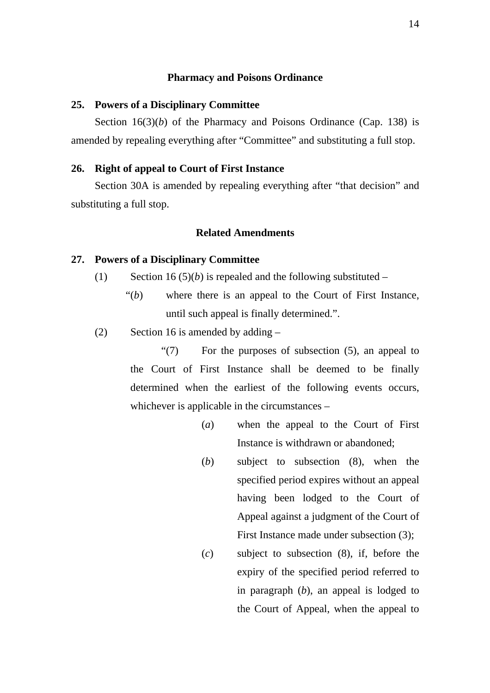#### **Pharmacy and Poisons Ordinance**

#### **25. Powers of a Disciplinary Committee**

Section 16(3)(*b*) of the Pharmacy and Poisons Ordinance (Cap. 138) is amended by repealing everything after "Committee" and substituting a full stop.

#### **26. Right of appeal to Court of First Instance**

Section 30A is amended by repealing everything after "that decision" and substituting a full stop.

### **Related Amendments**

#### **27. Powers of a Disciplinary Committee**

- (1) Section 16 (5)(*b*) is repealed and the following substituted
	- "(*b*) where there is an appeal to the Court of First Instance, until such appeal is finally determined.".
- (2) Section 16 is amended by adding  $-$

"(7) For the purposes of subsection (5), an appeal to the Court of First Instance shall be deemed to be finally determined when the earliest of the following events occurs, whichever is applicable in the circumstances –

- (*a*) when the appeal to the Court of First Instance is withdrawn or abandoned;
- (*b*) subject to subsection (8), when the specified period expires without an appeal having been lodged to the Court of Appeal against a judgment of the Court of First Instance made under subsection (3);
- (*c*) subject to subsection (8), if, before the expiry of the specified period referred to in paragraph (*b*), an appeal is lodged to the Court of Appeal, when the appeal to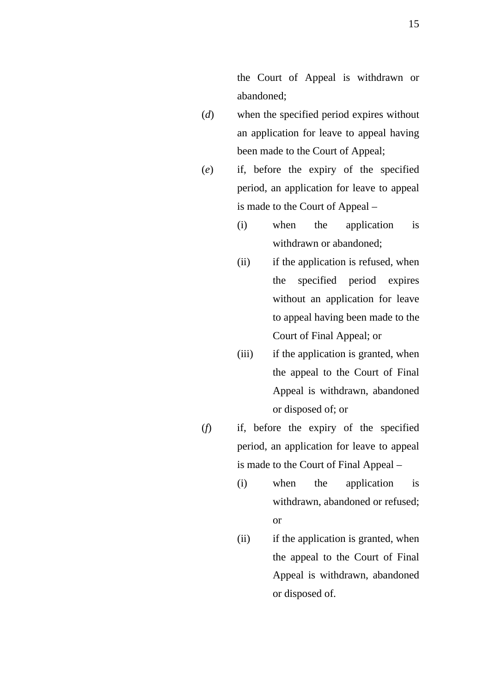the Court of Appeal is withdrawn or abandoned;

- (*d*) when the specified period expires without an application for leave to appeal having been made to the Court of Appeal;
- (*e*) if, before the expiry of the specified period, an application for leave to appeal is made to the Court of Appeal –
	- (i) when the application is withdrawn or abandoned;
	- (ii) if the application is refused, when the specified period expires without an application for leave to appeal having been made to the Court of Final Appeal; or
	- (iii) if the application is granted, when the appeal to the Court of Final Appeal is withdrawn, abandoned or disposed of; or
- (*f*) if, before the expiry of the specified period, an application for leave to appeal is made to the Court of Final Appeal –
	- (i) when the application is withdrawn, abandoned or refused; or
	- (ii) if the application is granted, when the appeal to the Court of Final Appeal is withdrawn, abandoned or disposed of.

15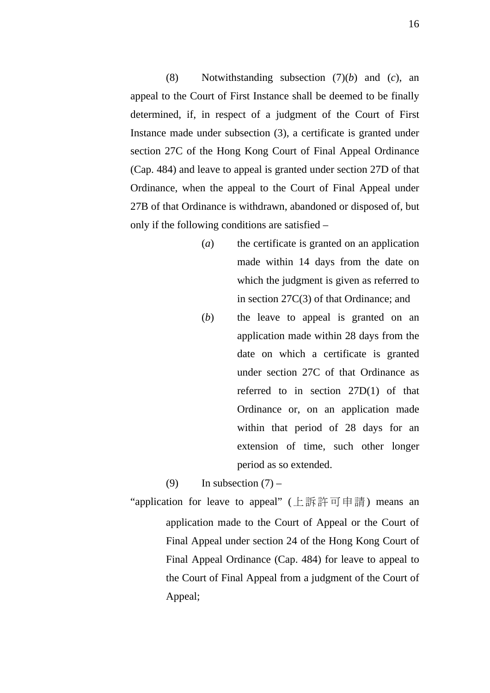(8) Notwithstanding subsection (7)(*b*) and (*c*), an appeal to the Court of First Instance shall be deemed to be finally determined, if, in respect of a judgment of the Court of First Instance made under subsection (3), a certificate is granted under section 27C of the Hong Kong Court of Final Appeal Ordinance (Cap. 484) and leave to appeal is granted under section 27D of that Ordinance, when the appeal to the Court of Final Appeal under 27B of that Ordinance is withdrawn, abandoned or disposed of, but only if the following conditions are satisfied –

- (*a*) the certificate is granted on an application made within 14 days from the date on which the judgment is given as referred to in section 27C(3) of that Ordinance; and
- (*b*) the leave to appeal is granted on an application made within 28 days from the date on which a certificate is granted under section 27C of that Ordinance as referred to in section 27D(1) of that Ordinance or, on an application made within that period of 28 days for an extension of time, such other longer period as so extended.

(9) In subsection  $(7)$  –

"application for leave to appeal" (上訴許可申請) means an application made to the Court of Appeal or the Court of Final Appeal under section 24 of the Hong Kong Court of Final Appeal Ordinance (Cap. 484) for leave to appeal to the Court of Final Appeal from a judgment of the Court of Appeal;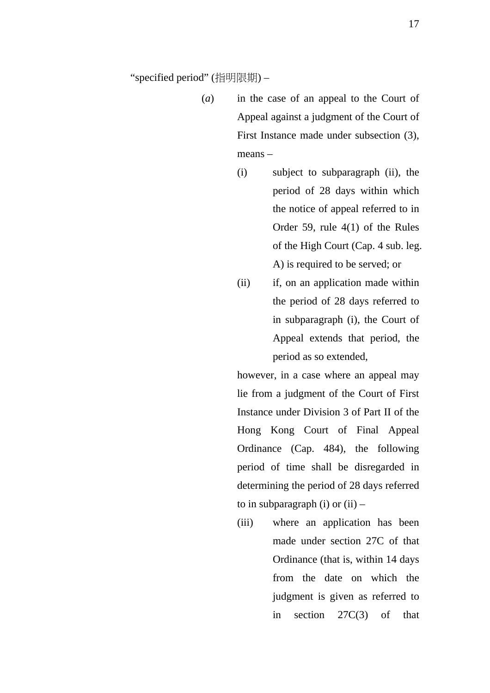"specified period" (指明限期) –

- (*a*) in the case of an appeal to the Court of Appeal against a judgment of the Court of First Instance made under subsection (3), means –
	- (i) subject to subparagraph (ii), the period of 28 days within which the notice of appeal referred to in Order 59, rule 4(1) of the Rules of the High Court (Cap. 4 sub. leg. A) is required to be served; or
	- (ii) if, on an application made within the period of 28 days referred to in subparagraph (i), the Court of Appeal extends that period, the period as so extended,

however, in a case where an appeal may lie from a judgment of the Court of First Instance under Division 3 of Part II of the Hong Kong Court of Final Appeal Ordinance (Cap. 484), the following period of time shall be disregarded in determining the period of 28 days referred to in subparagraph (i) or  $(ii)$  –

(iii) where an application has been made under section 27C of that Ordinance (that is, within 14 days from the date on which the judgment is given as referred to in section 27C(3) of that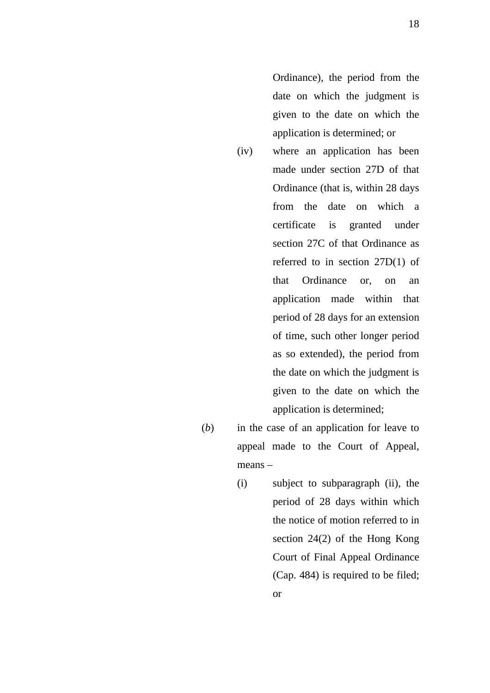Ordinance), the period from the date on which the judgment is given to the date on which the application is determined; or

- (iv) where an application has been made under section 27D of that Ordinance (that is, within 28 days from the date on which a certificate is granted under section 27C of that Ordinance as referred to in section 27D(1) of that Ordinance or, on an application made within that period of 28 days for an extension of time, such other longer period as so extended), the period from the date on which the judgment is given to the date on which the application is determined;
- (*b*) in the case of an application for leave to appeal made to the Court of Appeal, means –
	- (i) subject to subparagraph (ii), the period of 28 days within which the notice of motion referred to in section 24(2) of the Hong Kong Court of Final Appeal Ordinance (Cap. 484) is required to be filed; or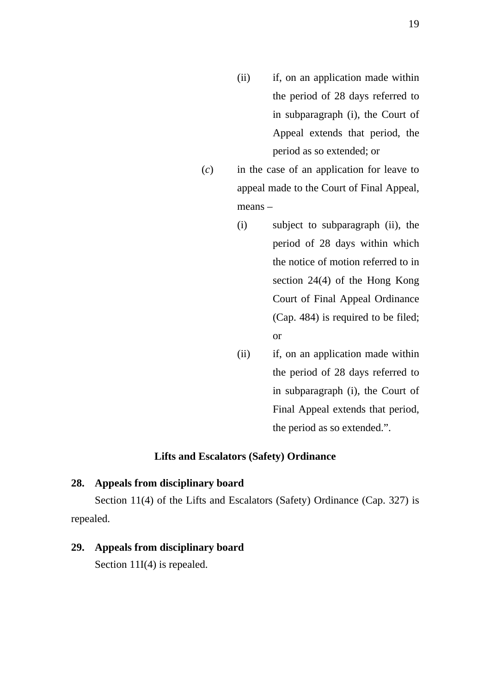- (ii) if, on an application made within the period of 28 days referred to in subparagraph (i), the Court of Appeal extends that period, the period as so extended; or
- (*c*) in the case of an application for leave to appeal made to the Court of Final Appeal, means –
	- (i) subject to subparagraph (ii), the period of 28 days within which the notice of motion referred to in section 24(4) of the Hong Kong Court of Final Appeal Ordinance (Cap. 484) is required to be filed; or
	- (ii) if, on an application made within the period of 28 days referred to in subparagraph (i), the Court of Final Appeal extends that period, the period as so extended.".

## **Lifts and Escalators (Safety) Ordinance**

#### **28. Appeals from disciplinary board**

Section 11(4) of the Lifts and Escalators (Safety) Ordinance (Cap. 327) is repealed.

#### **29. Appeals from disciplinary board**

Section 11I(4) is repealed.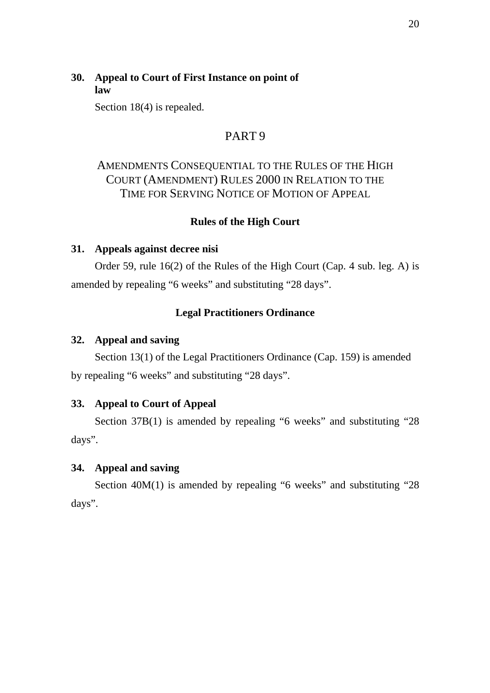## **30. Appeal to Court of First Instance on point of law**

Section 18(4) is repealed.

## PART 9

# AMENDMENTS CONSEQUENTIAL TO THE RULES OF THE HIGH COURT (AMENDMENT) RULES 2000 IN RELATION TO THE TIME FOR SERVING NOTICE OF MOTION OF APPEAL

## **Rules of the High Court**

### **31. Appeals against decree nisi**

Order 59, rule 16(2) of the Rules of the High Court (Cap. 4 sub. leg. A) is amended by repealing "6 weeks" and substituting "28 days".

## **Legal Practitioners Ordinance**

#### **32. Appeal and saving**

Section 13(1) of the Legal Practitioners Ordinance (Cap. 159) is amended by repealing "6 weeks" and substituting "28 days".

#### **33. Appeal to Court of Appeal**

Section 37B(1) is amended by repealing "6 weeks" and substituting "28 days".

#### **34. Appeal and saving**

Section 40M(1) is amended by repealing "6 weeks" and substituting "28 days".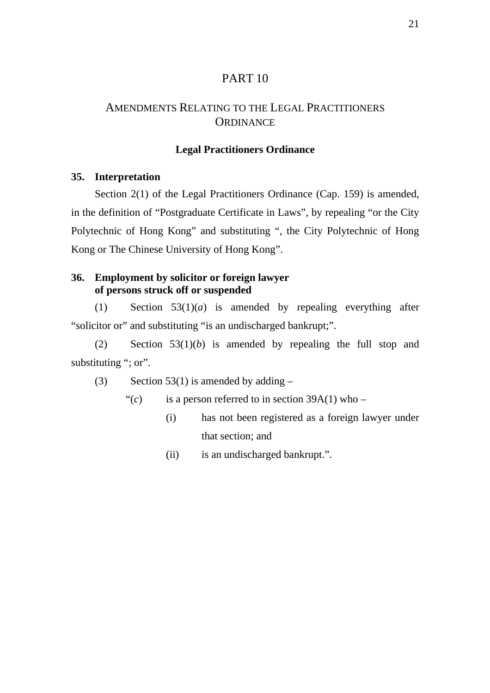## PART 10

## AMENDMENTS RELATING TO THE LEGAL PRACTITIONERS **ORDINANCE**

### **Legal Practitioners Ordinance**

### **35. Interpretation**

Section 2(1) of the Legal Practitioners Ordinance (Cap. 159) is amended, in the definition of "Postgraduate Certificate in Laws", by repealing "or the City Polytechnic of Hong Kong" and substituting ", the City Polytechnic of Hong Kong or The Chinese University of Hong Kong".

## **36. Employment by solicitor or foreign lawyer of persons struck off or suspended**

(1) Section 53(1)(*a*) is amended by repealing everything after "solicitor or" and substituting "is an undischarged bankrupt;".

(2) Section 53(1)(*b*) is amended by repealing the full stop and substituting "; or".

(3) Section 53(1) is amended by adding  $-$ 

- " $(c)$  is a person referred to in section 39A(1) who
	- (i) has not been registered as a foreign lawyer under that section; and
	- (ii) is an undischarged bankrupt.".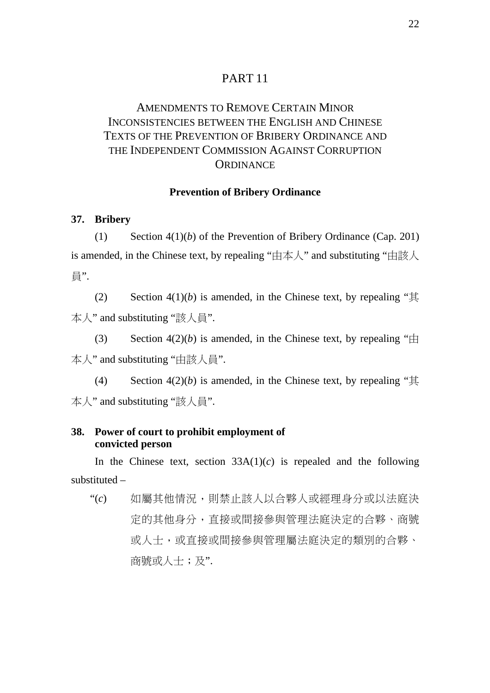## PART 11

# AMENDMENTS TO REMOVE CERTAIN MINOR INCONSISTENCIES BETWEEN THE ENGLISH AND CHINESE TEXTS OF THE PREVENTION OF BRIBERY ORDINANCE AND THE INDEPENDENT COMMISSION AGAINST CORRUPTION **ORDINANCE**

#### **Prevention of Bribery Ordinance**

**37. Bribery** 

(1) Section 4(1)(*b*) of the Prevention of Bribery Ordinance (Cap. 201) is amended, in the Chinese text, by repealing "由本人" and substituting "由該人 員".

(2) Section  $4(1)(b)$  is amended, in the Chinese text, by repealing " $\ddagger$ 本人" and substituting "該人員".

(3) Section  $4(2)(b)$  is amended, in the Chinese text, by repealing " $\pm$ 本人" and substituting "由該人員".

(4) Section  $4(2)(b)$  is amended, in the Chinese text, by repealing " $\ddagger$ 本人" and substituting "該人員".

## **38. Power of court to prohibit employment of convicted person**

In the Chinese text, section  $33A(1)(c)$  is repealed and the following substituted –

"(*c*) 如屬其他情況,則禁止該人以合夥人或經理身分或以法庭決 定的其他身分,直接或間接參與管理法庭決定的合夥、商號 或人士,或直接或間接參與管理屬法庭決定的類別的合夥、 商號或人士;及".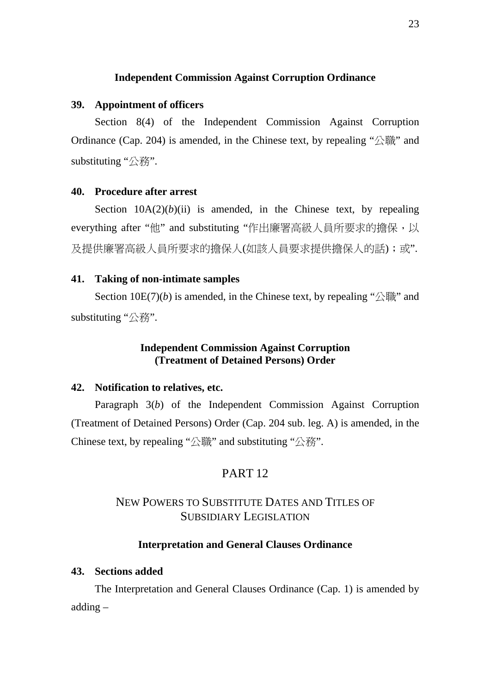## **Independent Commission Against Corruption Ordinance**

#### **39. Appointment of officers**

Section 8(4) of the Independent Commission Against Corruption Ordinance (Cap. 204) is amended, in the Chinese text, by repealing "公職" and substituting "公務".

#### **40. Procedure after arrest**

Section  $10A(2)(b)(ii)$  is amended, in the Chinese text, by repealing everything after "他" and substituting "作出廉署高級人員所要求的擔保,以 及提供廉署高級人員所要求的擔保人(如該人員要求提供擔保人的話);或".

#### **41. Taking of non-intimate samples**

Section  $10E(7)(b)$  is amended, in the Chinese text, by repealing " $\triangle$   $\mathbb{R}$ " and substituting "公務".

## **Independent Commission Against Corruption (Treatment of Detained Persons) Order**

### **42. Notification to relatives, etc.**

Paragraph 3(*b*) of the Independent Commission Against Corruption (Treatment of Detained Persons) Order (Cap. 204 sub. leg. A) is amended, in the Chinese text, by repealing "公職" and substituting "公務".

## PART 12

## NEW POWERS TO SUBSTITUTE DATES AND TITLES OF SUBSIDIARY LEGISLATION

### **Interpretation and General Clauses Ordinance**

### **43. Sections added**

The Interpretation and General Clauses Ordinance (Cap. 1) is amended by adding –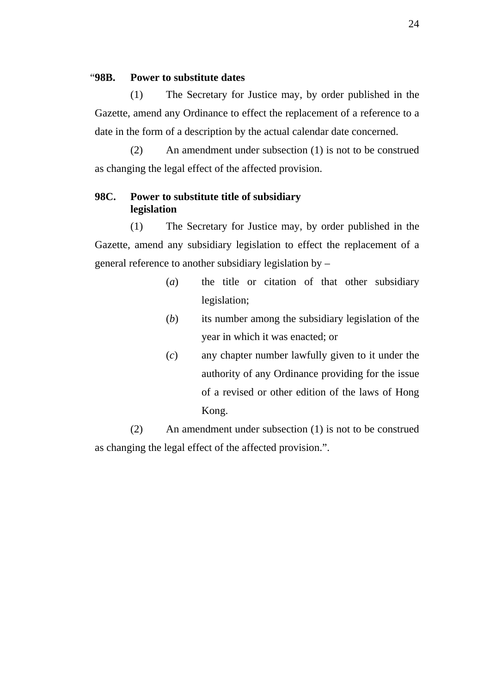### "**98B. Power to substitute dates**

(1) The Secretary for Justice may, by order published in the Gazette, amend any Ordinance to effect the replacement of a reference to a date in the form of a description by the actual calendar date concerned.

(2) An amendment under subsection (1) is not to be construed as changing the legal effect of the affected provision.

### **98C. Power to substitute title of subsidiary legislation**

(1) The Secretary for Justice may, by order published in the Gazette, amend any subsidiary legislation to effect the replacement of a general reference to another subsidiary legislation by –

- (*a*) the title or citation of that other subsidiary legislation;
- (*b*) its number among the subsidiary legislation of the year in which it was enacted; or
- (*c*) any chapter number lawfully given to it under the authority of any Ordinance providing for the issue of a revised or other edition of the laws of Hong Kong.

(2) An amendment under subsection (1) is not to be construed as changing the legal effect of the affected provision.".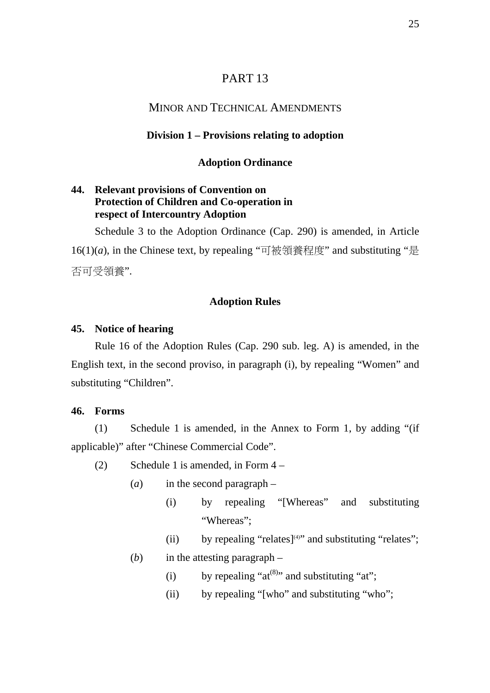## PART 13

## MINOR AND TECHNICAL AMENDMENTS

#### **Division 1 – Provisions relating to adoption**

#### **Adoption Ordinance**

## **44. Relevant provisions of Convention on Protection of Children and Co-operation in respect of Intercountry Adoption**

Schedule 3 to the Adoption Ordinance (Cap. 290) is amended, in Article 16(1)(*a*), in the Chinese text, by repealing "可被領養程度" and substituting "是 否可受領養".

### **Adoption Rules**

#### **45. Notice of hearing**

Rule 16 of the Adoption Rules (Cap. 290 sub. leg. A) is amended, in the English text, in the second proviso, in paragraph (i), by repealing "Women" and substituting "Children".

## **46. Forms**

(1) Schedule 1 is amended, in the Annex to Form 1, by adding "(if applicable)" after "Chinese Commercial Code".

- (2) Schedule 1 is amended, in Form 4
	- (*a*) in the second paragraph
		- (i) by repealing "[Whereas" and substituting "Whereas";
		- (ii) by repealing "relates] $(4)$ " and substituting "relates";
	- (*b*) in the attesting paragraph
		- (i) by repealing " $at^{(8)}$ " and substituting "at";
		- (ii) by repealing "[who" and substituting "who";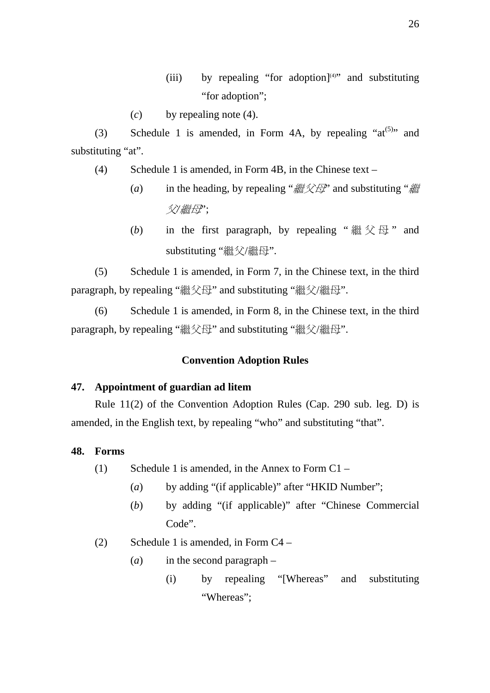- (iii) by repealing "for adoption] $(4)$ " and substituting "for adoption":
- (*c*) by repealing note (4).

(3) Schedule 1 is amended, in Form 4A, by repealing " $at^{(5)}$ " and substituting "at".

- (4) Schedule 1 is amended, in Form 4B, in the Chinese text
	- (*a*) in the heading, by repealing "繼父母" and substituting "繼 父*/*繼母";
	- (b) in the first paragraph, by repealing " $\mathcal{H} \otimes \mathcal{H}$ " and substituting "繼父/繼母".

(5) Schedule 1 is amended, in Form 7, in the Chinese text, in the third paragraph, by repealing "繼父母" and substituting "繼父/繼母".

(6) Schedule 1 is amended, in Form 8, in the Chinese text, in the third paragraph, by repealing "繼父母" and substituting "繼父/繼母".

## **Convention Adoption Rules**

#### **47. Appointment of guardian ad litem**

Rule 11(2) of the Convention Adoption Rules (Cap. 290 sub. leg. D) is amended, in the English text, by repealing "who" and substituting "that".

#### **48. Forms**

- (1) Schedule 1 is amended, in the Annex to Form  $C1 -$ 
	- (*a*) by adding "(if applicable)" after "HKID Number";
	- (*b*) by adding "(if applicable)" after "Chinese Commercial Code".
- (2) Schedule 1 is amended, in Form C4
	- (*a*) in the second paragraph
		- (i) by repealing "[Whereas" and substituting "Whereas";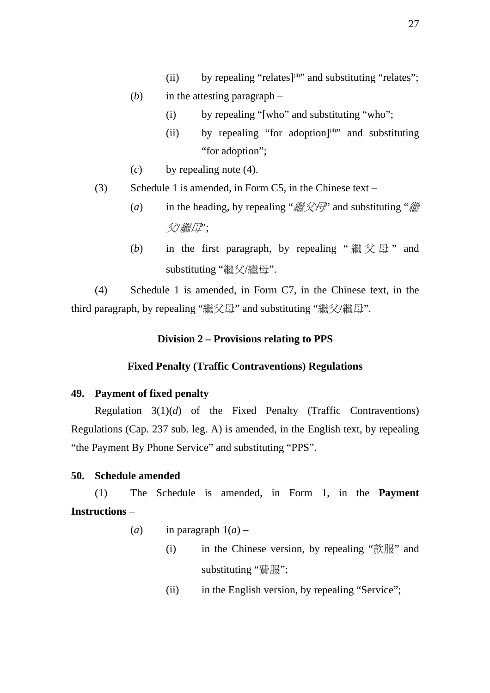- (ii) by repealing "relates] $(4)$ " and substituting "relates";
- (*b*) in the attesting paragraph
	- (i) by repealing "[who" and substituting "who";
	- (ii) by repealing "for adoption] $(4)$ " and substituting "for adoption";
- (*c*) by repealing note (4).
- (3) Schedule 1 is amended, in Form C5, in the Chinese text
	- (*a*) in the heading, by repealing "繼父母" and substituting "繼 父*/*繼母";
	- (b) in the first paragraph, by repealing " $\mathcal{H} \otimes \mathcal{H}$ " and substituting "繼父/繼母".

(4) Schedule 1 is amended, in Form C7, in the Chinese text, in the third paragraph, by repealing "繼父母" and substituting "繼父/繼母".

## **Division 2 – Provisions relating to PPS**

## **Fixed Penalty (Traffic Contraventions) Regulations**

## **49. Payment of fixed penalty**

Regulation 3(1)(*d*) of the Fixed Penalty (Traffic Contraventions) Regulations (Cap. 237 sub. leg. A) is amended, in the English text, by repealing "the Payment By Phone Service" and substituting "PPS".

## **50. Schedule amended**

(1) The Schedule is amended, in Form 1, in the **Payment Instructions** –

- (*a*) in paragraph  $1(a)$ 
	- (i) in the Chinese version, by repealing "款服" and substituting "費服";
	- (ii) in the English version, by repealing "Service";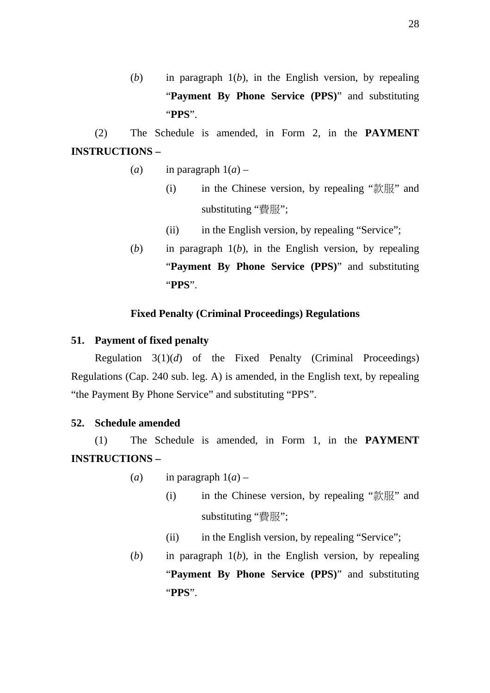(*b*) in paragraph 1(*b*), in the English version, by repealing "**Payment By Phone Service (PPS)**" and substituting "**PPS**".

(2) The Schedule is amended, in Form 2, in the **PAYMENT INSTRUCTIONS –** 

- (*a*) in paragraph  $1(a)$ 
	- (i) in the Chinese version, by repealing "款服" and substituting "費服";
	- (ii) in the English version, by repealing "Service";
- (*b*) in paragraph 1(*b*), in the English version, by repealing "**Payment By Phone Service (PPS)**" and substituting "**PPS**".

## **Fixed Penalty (Criminal Proceedings) Regulations**

### **51. Payment of fixed penalty**

Regulation 3(1)(*d*) of the Fixed Penalty (Criminal Proceedings) Regulations (Cap. 240 sub. leg. A) is amended, in the English text, by repealing "the Payment By Phone Service" and substituting "PPS".

### **52. Schedule amended**

(1) The Schedule is amended, in Form 1, in the **PAYMENT INSTRUCTIONS –** 

- (*a*) in paragraph  $1(a)$ 
	- (i) in the Chinese version, by repealing "款服" and substituting "費服";
	- (ii) in the English version, by repealing "Service";
- (*b*) in paragraph 1(*b*), in the English version, by repealing "**Payment By Phone Service (PPS)**" and substituting "**PPS**".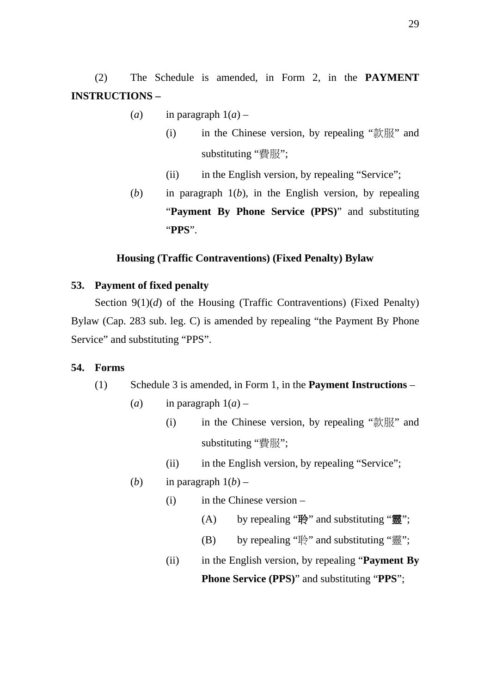(2) The Schedule is amended, in Form 2, in the **PAYMENT INSTRUCTIONS –** 

- (*a*) in paragraph  $1(a)$ 
	- (i) in the Chinese version, by repealing "款服" and substituting "費服";
	- (ii) in the English version, by repealing "Service";
- (*b*) in paragraph 1(*b*), in the English version, by repealing "**Payment By Phone Service (PPS)**" and substituting "**PPS**".

## **Housing (Traffic Contraventions) (Fixed Penalty) Bylaw**

## **53. Payment of fixed penalty**

Section 9(1)(*d*) of the Housing (Traffic Contraventions) (Fixed Penalty) Bylaw (Cap. 283 sub. leg. C) is amended by repealing "the Payment By Phone Service" and substituting "PPS".

#### **54. Forms**

- (1) Schedule 3 is amended, in Form 1, in the **Payment Instructions**
	- (*a*) in paragraph  $1(a)$ 
		- (i) in the Chinese version, by repealing "款服" and substituting "費服";
		- (ii) in the English version, by repealing "Service";
	- (*b*) in paragraph  $1(b)$ 
		- (i) in the Chinese version
			- (A) by repealing "聆" and substituting "靈";
			- (B) by repealing "聆" and substituting "靈";
		- (ii) in the English version, by repealing "**Payment By Phone Service (PPS)**" and substituting "**PPS**";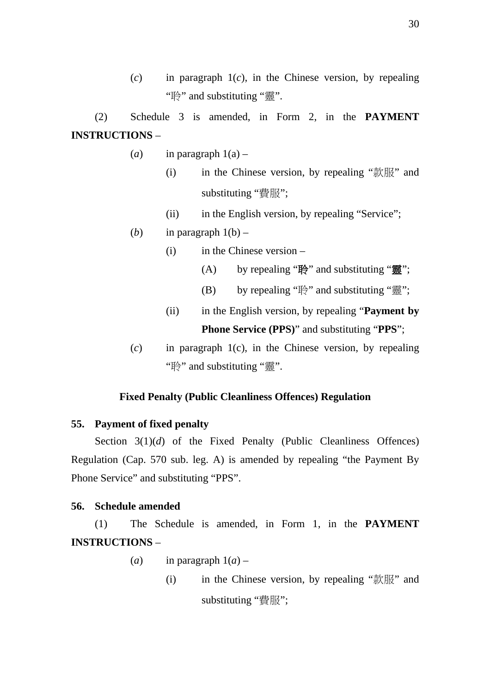$(c)$  in paragraph  $1(c)$ , in the Chinese version, by repealing "聆" and substituting "靈".

(2) Schedule 3 is amended, in Form 2, in the **PAYMENT INSTRUCTIONS** –

- (*a*) in paragraph  $1(a)$ 
	- (i) in the Chinese version, by repealing "款服" and substituting "費服";
	- (ii) in the English version, by repealing "Service";
- (*b*) in paragraph  $1(b)$ 
	- (i) in the Chinese version
		- (A) by repealing "聆" and substituting "靈";
		- (B) by repealing "聆" and substituting "靈";
	- (ii) in the English version, by repealing "**Payment by Phone Service (PPS)**" and substituting "**PPS**";
- (*c*) in paragraph 1(c), in the Chinese version, by repealing "聆" and substituting "靈".

#### **Fixed Penalty (Public Cleanliness Offences) Regulation**

#### **55. Payment of fixed penalty**

Section 3(1)(*d*) of the Fixed Penalty (Public Cleanliness Offences) Regulation (Cap. 570 sub. leg. A) is amended by repealing "the Payment By Phone Service" and substituting "PPS".

#### **56. Schedule amended**

(1) The Schedule is amended, in Form 1, in the **PAYMENT INSTRUCTIONS** –

- (*a*) in paragraph  $1(a)$ 
	- (i) in the Chinese version, by repealing "款服" and substituting "費服";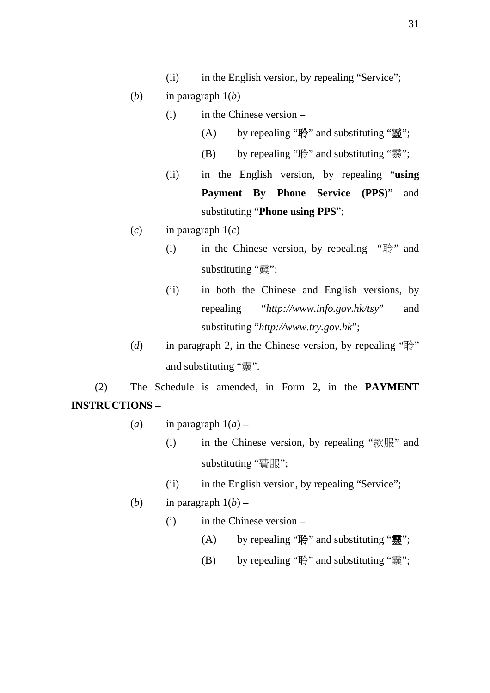- (ii) in the English version, by repealing "Service";
- (*b*) in paragraph  $1(b)$ 
	- (i) in the Chinese version
		- (A) by repealing "聆" and substituting "靈";
		- (B) by repealing "聆" and substituting "靈";
	- (ii) in the English version, by repealing "**using Payment By Phone Service (PPS)**" and substituting "**Phone using PPS**";
- (*c*) in paragraph  $1(c)$ 
	- (i) in the Chinese version, by repealing " $\mathbb{R}$ " and substituting "靈";
	- (ii) in both the Chinese and English versions, by repealing "*http://www.info.gov.hk/tsy*" and substituting "*http://www.try.gov.hk*";
- (*d*) in paragraph 2, in the Chinese version, by repealing "聆" and substituting "靈".

(2) The Schedule is amended, in Form 2, in the **PAYMENT INSTRUCTIONS** –

- (*a*) in paragraph  $1(a)$ 
	- (i) in the Chinese version, by repealing "款服" and substituting "費服";
	- (ii) in the English version, by repealing "Service";
- (*b*) in paragraph  $1(b)$ 
	- (i) in the Chinese version
		- (A) by repealing "聆" and substituting "靈";
		- (B) by repealing "聆" and substituting "靈";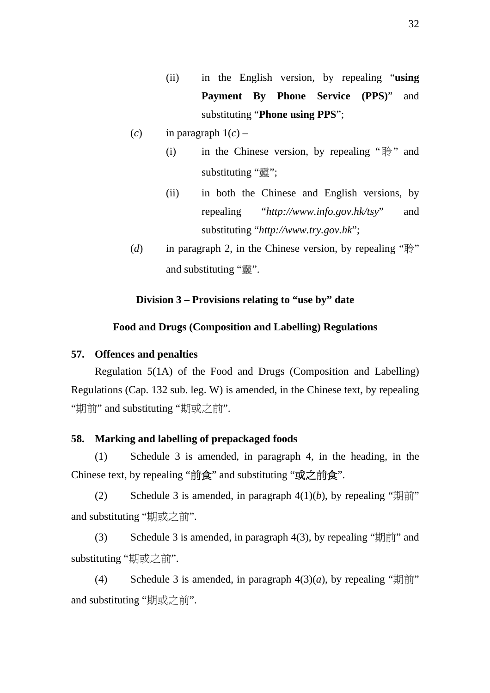- (ii) in the English version, by repealing "**using Payment By Phone Service (PPS)**" and substituting "**Phone using PPS**";
- (*c*) in paragraph 1(*c*)
	- (i) in the Chinese version, by repealing " $\mathbb{B}$ " and substituting "靈";
	- (ii) in both the Chinese and English versions, by repealing "*http://www.info.gov.hk/tsy*" and substituting "*http://www.try.gov.hk*";
- (*d*) in paragraph 2, in the Chinese version, by repealing " $\mathbb{R}$ " and substituting "靈".

#### **Division 3 – Provisions relating to "use by" date**

#### **Food and Drugs (Composition and Labelling) Regulations**

#### **57. Offences and penalties**

Regulation 5(1A) of the Food and Drugs (Composition and Labelling) Regulations (Cap. 132 sub. leg. W) is amended, in the Chinese text, by repealing "期前" and substituting "期或之前".

#### **58. Marking and labelling of prepackaged foods**

(1) Schedule 3 is amended, in paragraph 4, in the heading, in the Chinese text, by repealing "前食" and substituting "或之前食".

(2) Schedule 3 is amended, in paragraph  $4(1)(b)$ , by repealing "期前" and substituting "期或之前".

(3) Schedule 3 is amended, in paragraph 4(3), by repealing "期前" and substituting "期或之前".

(4) Schedule 3 is amended, in paragraph  $4(3)(a)$ , by repealing "期前" and substituting "期或之前".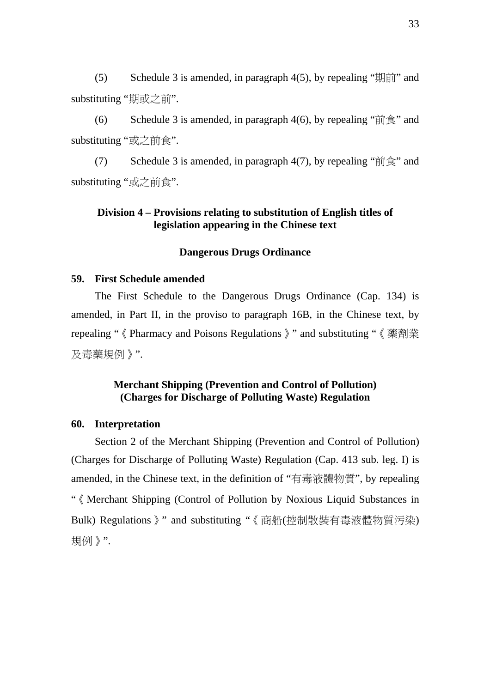(5) Schedule 3 is amended, in paragraph  $4(5)$ , by repealing " $\sharp \sharp \sharp \sharp \sharp \sharp$ " and substituting "期或之前".

(6) Schedule 3 is amended, in paragraph 4(6), by repealing " $\hat{\mathbb{m}}\hat{\mathbb{R}}$ " and substituting "或之前食".

(7) Schedule 3 is amended, in paragraph 4(7), by repealing " $\hat{\text{m}}\hat{\text{g}}$ " and substituting "或之前食".

### **Division 4 – Provisions relating to substitution of English titles of legislation appearing in the Chinese text**

#### **Dangerous Drugs Ordinance**

#### **59. First Schedule amended**

The First Schedule to the Dangerous Drugs Ordinance (Cap. 134) is amended, in Part II, in the proviso to paragraph 16B, in the Chinese text, by repealing "《Pharmacy and Poisons Regulations》" and substituting "《藥劑業 及毒藥規例》".

## **Merchant Shipping (Prevention and Control of Pollution) (Charges for Discharge of Polluting Waste) Regulation**

#### **60. Interpretation**

Section 2 of the Merchant Shipping (Prevention and Control of Pollution) (Charges for Discharge of Polluting Waste) Regulation (Cap. 413 sub. leg. I) is amended, in the Chinese text, in the definition of "有毒液體物質", by repealing "《Merchant Shipping (Control of Pollution by Noxious Liquid Substances in Bulk) Regulations》" and substituting "《商船(控制散裝有毒液體物質污染) 規例》".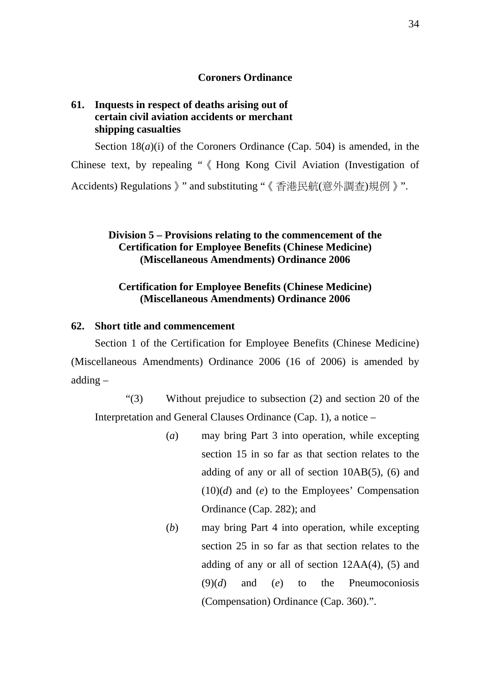### **Coroners Ordinance**

## **61. Inquests in respect of deaths arising out of certain civil aviation accidents or merchant shipping casualties**

Section 18(*a*)(i) of the Coroners Ordinance (Cap. 504) is amended, in the Chinese text, by repealing "《Hong Kong Civil Aviation (Investigation of Accidents) Regulations》" and substituting "《香港民航(意外調查)規例》".

### **Division 5 – Provisions relating to the commencement of the Certification for Employee Benefits (Chinese Medicine) (Miscellaneous Amendments) Ordinance 2006**

## **Certification for Employee Benefits (Chinese Medicine) (Miscellaneous Amendments) Ordinance 2006**

#### **62. Short title and commencement**

Section 1 of the Certification for Employee Benefits (Chinese Medicine) (Miscellaneous Amendments) Ordinance 2006 (16 of 2006) is amended by adding –

"(3) Without prejudice to subsection (2) and section 20 of the Interpretation and General Clauses Ordinance (Cap. 1), a notice –

- (*a*) may bring Part 3 into operation, while excepting section 15 in so far as that section relates to the adding of any or all of section 10AB(5), (6) and (10)(*d*) and (*e*) to the Employees' Compensation Ordinance (Cap. 282); and
- (*b*) may bring Part 4 into operation, while excepting section 25 in so far as that section relates to the adding of any or all of section 12AA(4), (5) and (9)(*d*) and (*e*) to the Pneumoconiosis (Compensation) Ordinance (Cap. 360).".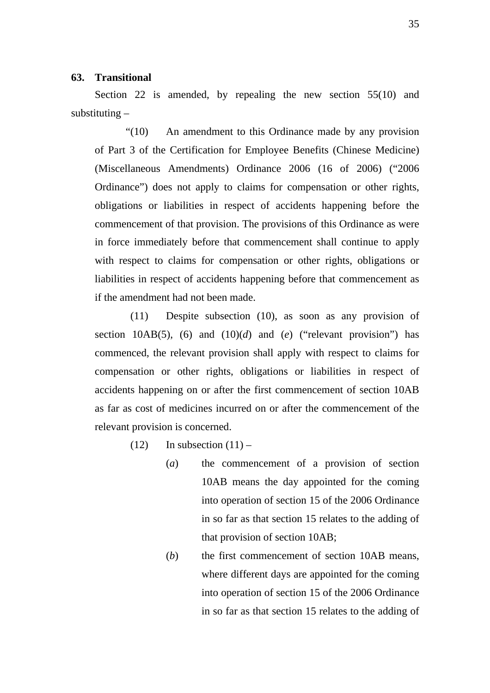### **63. Transitional**

Section 22 is amended, by repealing the new section 55(10) and substituting –

"(10) An amendment to this Ordinance made by any provision of Part 3 of the Certification for Employee Benefits (Chinese Medicine) (Miscellaneous Amendments) Ordinance 2006 (16 of 2006) ("2006 Ordinance") does not apply to claims for compensation or other rights, obligations or liabilities in respect of accidents happening before the commencement of that provision. The provisions of this Ordinance as were in force immediately before that commencement shall continue to apply with respect to claims for compensation or other rights, obligations or liabilities in respect of accidents happening before that commencement as if the amendment had not been made.

(11) Despite subsection (10), as soon as any provision of section 10AB(5), (6) and (10)(*d*) and (*e*) ("relevant provision") has commenced, the relevant provision shall apply with respect to claims for compensation or other rights, obligations or liabilities in respect of accidents happening on or after the first commencement of section 10AB as far as cost of medicines incurred on or after the commencement of the relevant provision is concerned.

- $(12)$  In subsection  $(11)$ 
	- (*a*) the commencement of a provision of section 10AB means the day appointed for the coming into operation of section 15 of the 2006 Ordinance in so far as that section 15 relates to the adding of that provision of section 10AB;
	- (*b*) the first commencement of section 10AB means, where different days are appointed for the coming into operation of section 15 of the 2006 Ordinance in so far as that section 15 relates to the adding of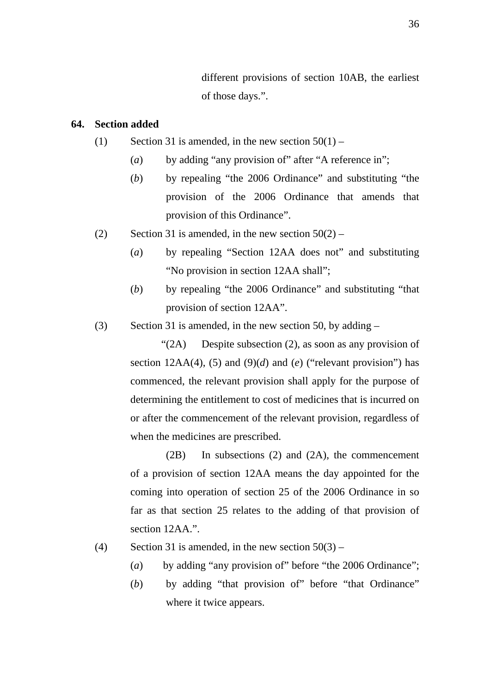different provisions of section 10AB, the earliest of those days.".

### **64. Section added**

- (1) Section 31 is amended, in the new section  $50(1)$ 
	- (*a*) by adding "any provision of" after "A reference in";
	- (*b*) by repealing "the 2006 Ordinance" and substituting "the provision of the 2006 Ordinance that amends that provision of this Ordinance".
- (2) Section 31 is amended, in the new section  $50(2)$ 
	- (*a*) by repealing "Section 12AA does not" and substituting "No provision in section 12AA shall";
	- (*b*) by repealing "the 2006 Ordinance" and substituting "that provision of section 12AA".
- (3) Section 31 is amended, in the new section 50, by adding –

"(2A) Despite subsection (2), as soon as any provision of section  $12AA(4)$ , (5) and (9)(d) and (e) ("relevant provision") has commenced, the relevant provision shall apply for the purpose of determining the entitlement to cost of medicines that is incurred on or after the commencement of the relevant provision, regardless of when the medicines are prescribed.

(2B) In subsections (2) and (2A), the commencement of a provision of section 12AA means the day appointed for the coming into operation of section 25 of the 2006 Ordinance in so far as that section 25 relates to the adding of that provision of section 12AA<sup>"</sup>.

- (4) Section 31 is amended, in the new section  $50(3)$ 
	- (*a*) by adding "any provision of" before "the 2006 Ordinance";
	- (*b*) by adding "that provision of" before "that Ordinance" where it twice appears.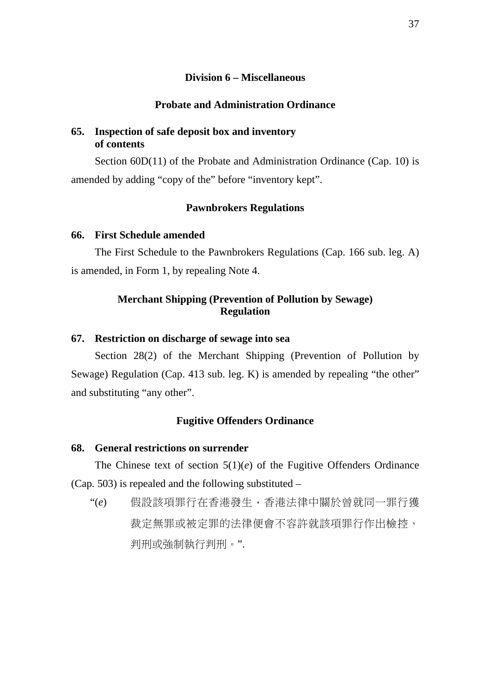### **Division 6 – Miscellaneous**

### **Probate and Administration Ordinance**

## **65. Inspection of safe deposit box and inventory of contents**

Section 60D(11) of the Probate and Administration Ordinance (Cap. 10) is amended by adding "copy of the" before "inventory kept".

#### **Pawnbrokers Regulations**

#### **66. First Schedule amended**

The First Schedule to the Pawnbrokers Regulations (Cap. 166 sub. leg. A) is amended, in Form 1, by repealing Note 4.

## **Merchant Shipping (Prevention of Pollution by Sewage) Regulation**

## **67. Restriction on discharge of sewage into sea**

Section 28(2) of the Merchant Shipping (Prevention of Pollution by Sewage) Regulation (Cap. 413 sub. leg. K) is amended by repealing "the other" and substituting "any other".

#### **Fugitive Offenders Ordinance**

### **68. General restrictions on surrender**

The Chinese text of section 5(1)(*e*) of the Fugitive Offenders Ordinance (Cap. 503) is repealed and the following substituted –

"(*e*) 假設該項罪行在香港發生,香港法律中關於曾就同一罪行獲 裁定無罪或被定罪的法律便會不容許就該項罪行作出檢控、 判刑或強制執行判刑。".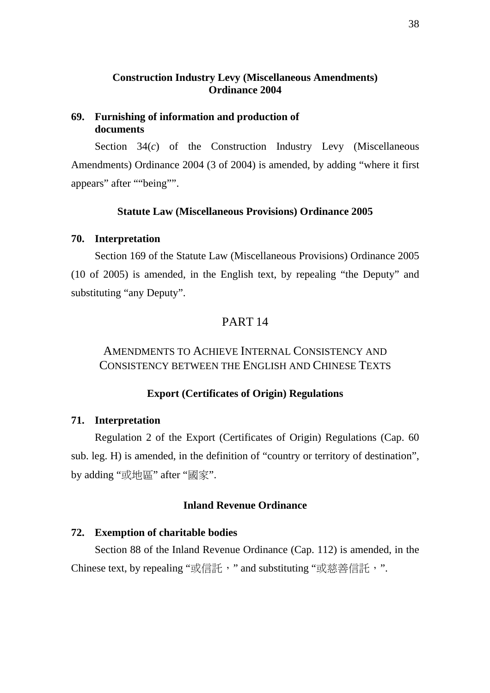## **Construction Industry Levy (Miscellaneous Amendments) Ordinance 2004**

## **69. Furnishing of information and production of documents**

Section 34(*c*) of the Construction Industry Levy (Miscellaneous Amendments) Ordinance 2004 (3 of 2004) is amended, by adding "where it first appears" after ""being"".

### **Statute Law (Miscellaneous Provisions) Ordinance 2005**

#### **70. Interpretation**

Section 169 of the Statute Law (Miscellaneous Provisions) Ordinance 2005 (10 of 2005) is amended, in the English text, by repealing "the Deputy" and substituting "any Deputy".

## PART 14

# AMENDMENTS TO ACHIEVE INTERNAL CONSISTENCY AND CONSISTENCY BETWEEN THE ENGLISH AND CHINESE TEXTS

#### **Export (Certificates of Origin) Regulations**

#### **71. Interpretation**

Regulation 2 of the Export (Certificates of Origin) Regulations (Cap. 60 sub. leg. H) is amended, in the definition of "country or territory of destination", by adding "或地區" after "國家".

## **Inland Revenue Ordinance**

### **72. Exemption of charitable bodies**

Section 88 of the Inland Revenue Ordinance (Cap. 112) is amended, in the Chinese text, by repealing "或信託," and substituting "或慈善信託,".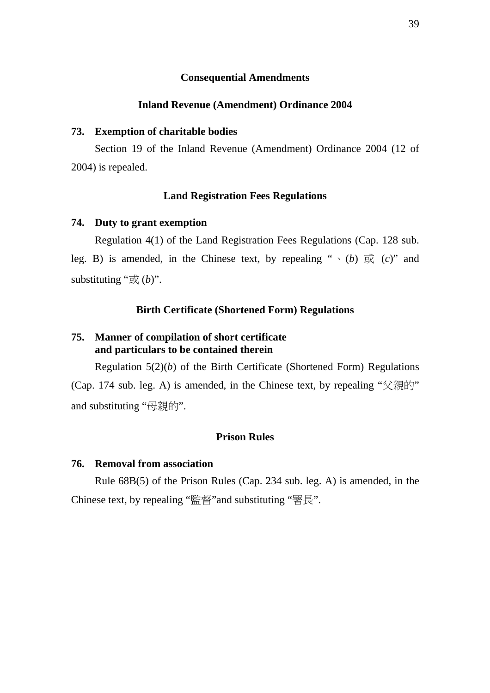#### **Consequential Amendments**

#### **Inland Revenue (Amendment) Ordinance 2004**

#### **73. Exemption of charitable bodies**

Section 19 of the Inland Revenue (Amendment) Ordinance 2004 (12 of 2004) is repealed.

#### **Land Registration Fees Regulations**

#### **74. Duty to grant exemption**

Regulation 4(1) of the Land Registration Fees Regulations (Cap. 128 sub. leg. B) is amended, in the Chinese text, by repealing " $\cdot$  (*b*)  $\overrightarrow{xy}$  (*c*)" and substituting " $\mathcal{R}(b)$ ".

#### **Birth Certificate (Shortened Form) Regulations**

### **75. Manner of compilation of short certificate and particulars to be contained therein**

Regulation 5(2)(*b*) of the Birth Certificate (Shortened Form) Regulations (Cap. 174 sub. leg. A) is amended, in the Chinese text, by repealing "父親的" and substituting "母親的".

#### **Prison Rules**

### **76. Removal from association**

Rule 68B(5) of the Prison Rules (Cap. 234 sub. leg. A) is amended, in the Chinese text, by repealing "監督"and substituting "署長".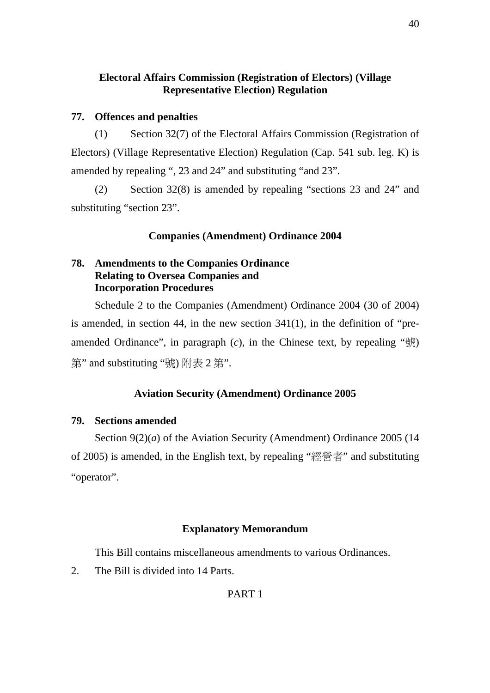## **Electoral Affairs Commission (Registration of Electors) (Village Representative Election) Regulation**

## **77. Offences and penalties**

(1) Section 32(7) of the Electoral Affairs Commission (Registration of Electors) (Village Representative Election) Regulation (Cap. 541 sub. leg. K) is amended by repealing ", 23 and 24" and substituting "and 23".

(2) Section 32(8) is amended by repealing "sections 23 and 24" and substituting "section 23".

## **Companies (Amendment) Ordinance 2004**

## **78. Amendments to the Companies Ordinance Relating to Oversea Companies and Incorporation Procedures**

Schedule 2 to the Companies (Amendment) Ordinance 2004 (30 of 2004) is amended, in section 44, in the new section 341(1), in the definition of "preamended Ordinance", in paragraph  $(c)$ , in the Chinese text, by repealing " $\frac{1}{2}$ " 第" and substituting "號) 附表 2 第".

## **Aviation Security (Amendment) Ordinance 2005**

### **79. Sections amended**

Section 9(2)(*a*) of the Aviation Security (Amendment) Ordinance 2005 (14 of 2005) is amended, in the English text, by repealing "經營者" and substituting "operator".

### **Explanatory Memorandum**

This Bill contains miscellaneous amendments to various Ordinances.

2. The Bill is divided into 14 Parts.

## PART 1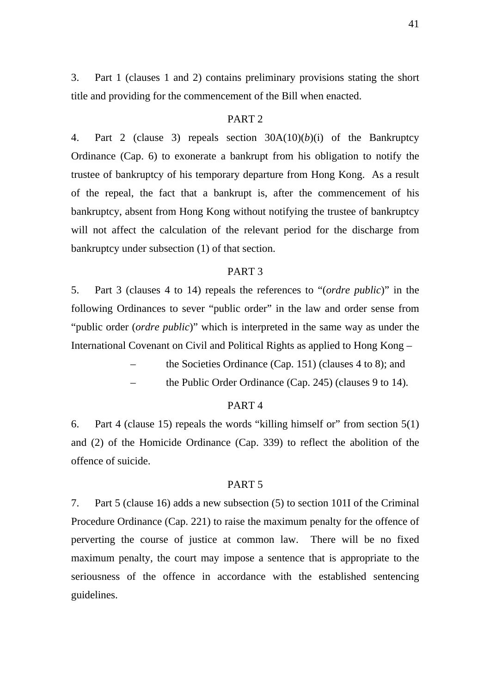3. Part 1 (clauses 1 and 2) contains preliminary provisions stating the short title and providing for the commencement of the Bill when enacted.

#### PART 2

4. Part 2 (clause 3) repeals section 30A(10)(*b*)(i) of the Bankruptcy Ordinance (Cap. 6) to exonerate a bankrupt from his obligation to notify the trustee of bankruptcy of his temporary departure from Hong Kong. As a result of the repeal, the fact that a bankrupt is, after the commencement of his bankruptcy, absent from Hong Kong without notifying the trustee of bankruptcy will not affect the calculation of the relevant period for the discharge from bankruptcy under subsection (1) of that section.

#### PART 3

5. Part 3 (clauses 4 to 14) repeals the references to "(*ordre public*)" in the following Ordinances to sever "public order" in the law and order sense from "public order (*ordre public*)" which is interpreted in the same way as under the International Covenant on Civil and Political Rights as applied to Hong Kong –

– the Societies Ordinance (Cap. 151) (clauses 4 to 8); and

– the Public Order Ordinance (Cap. 245) (clauses 9 to 14).

#### PART 4

6. Part 4 (clause 15) repeals the words "killing himself or" from section 5(1) and (2) of the Homicide Ordinance (Cap. 339) to reflect the abolition of the offence of suicide.

#### PART 5

7. Part 5 (clause 16) adds a new subsection (5) to section 101I of the Criminal Procedure Ordinance (Cap. 221) to raise the maximum penalty for the offence of perverting the course of justice at common law. There will be no fixed maximum penalty, the court may impose a sentence that is appropriate to the seriousness of the offence in accordance with the established sentencing guidelines.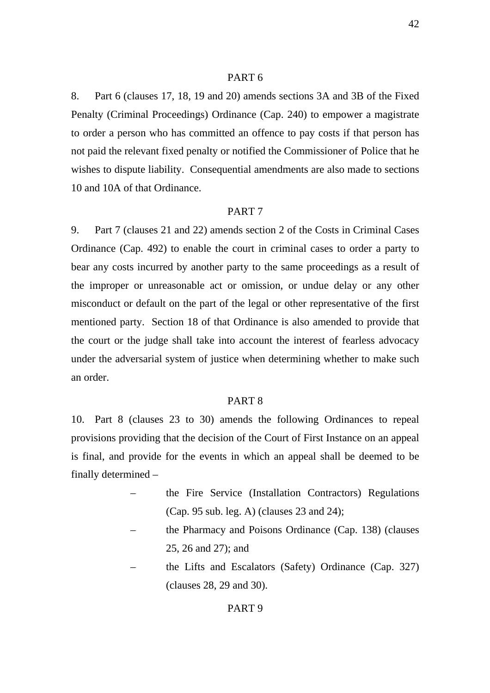#### PART 6

8. Part 6 (clauses 17, 18, 19 and 20) amends sections 3A and 3B of the Fixed Penalty (Criminal Proceedings) Ordinance (Cap. 240) to empower a magistrate to order a person who has committed an offence to pay costs if that person has not paid the relevant fixed penalty or notified the Commissioner of Police that he wishes to dispute liability. Consequential amendments are also made to sections 10 and 10A of that Ordinance.

#### PART 7

9. Part 7 (clauses 21 and 22) amends section 2 of the Costs in Criminal Cases Ordinance (Cap. 492) to enable the court in criminal cases to order a party to bear any costs incurred by another party to the same proceedings as a result of the improper or unreasonable act or omission, or undue delay or any other misconduct or default on the part of the legal or other representative of the first mentioned party. Section 18 of that Ordinance is also amended to provide that the court or the judge shall take into account the interest of fearless advocacy under the adversarial system of justice when determining whether to make such an order.

### PART 8

10. Part 8 (clauses 23 to 30) amends the following Ordinances to repeal provisions providing that the decision of the Court of First Instance on an appeal is final, and provide for the events in which an appeal shall be deemed to be finally determined –

- the Fire Service (Installation Contractors) Regulations (Cap. 95 sub. leg. A) (clauses 23 and 24);
- the Pharmacy and Poisons Ordinance (Cap. 138) (clauses 25, 26 and 27); and
- the Lifts and Escalators (Safety) Ordinance (Cap. 327) (clauses 28, 29 and 30).

#### PART 9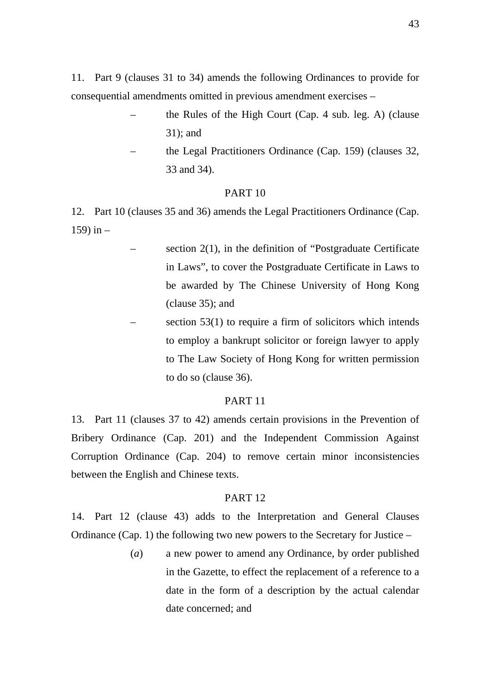11. Part 9 (clauses 31 to 34) amends the following Ordinances to provide for consequential amendments omitted in previous amendment exercises –

- the Rules of the High Court (Cap. 4 sub. leg. A) (clause 31); and
	- the Legal Practitioners Ordinance (Cap. 159) (clauses 32, 33 and 34).

#### PART 10

12. Part 10 (clauses 35 and 36) amends the Legal Practitioners Ordinance (Cap. 159) in –

- section  $2(1)$ , in the definition of "Postgraduate Certificate" in Laws", to cover the Postgraduate Certificate in Laws to be awarded by The Chinese University of Hong Kong (clause 35); and
- section  $53(1)$  to require a firm of solicitors which intends to employ a bankrupt solicitor or foreign lawyer to apply to The Law Society of Hong Kong for written permission to do so (clause 36).

#### PART 11

13. Part 11 (clauses 37 to 42) amends certain provisions in the Prevention of Bribery Ordinance (Cap. 201) and the Independent Commission Against Corruption Ordinance (Cap. 204) to remove certain minor inconsistencies between the English and Chinese texts.

#### PART 12

14. Part 12 (clause 43) adds to the Interpretation and General Clauses Ordinance (Cap. 1) the following two new powers to the Secretary for Justice –

> (*a*) a new power to amend any Ordinance, by order published in the Gazette, to effect the replacement of a reference to a date in the form of a description by the actual calendar date concerned; and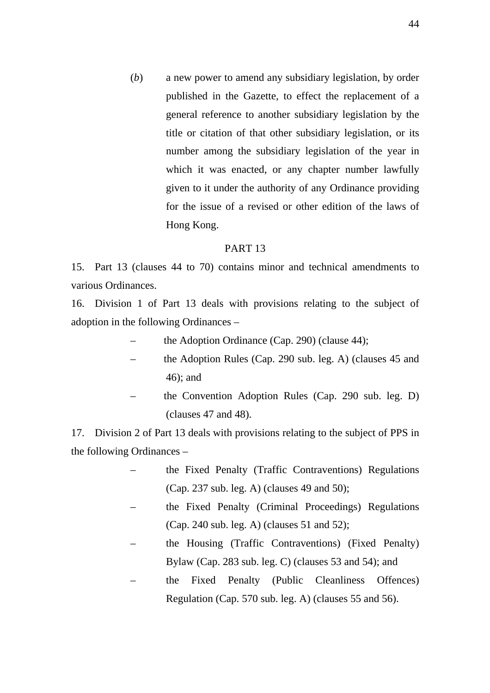(*b*) a new power to amend any subsidiary legislation, by order published in the Gazette, to effect the replacement of a general reference to another subsidiary legislation by the title or citation of that other subsidiary legislation, or its number among the subsidiary legislation of the year in which it was enacted, or any chapter number lawfully given to it under the authority of any Ordinance providing for the issue of a revised or other edition of the laws of Hong Kong.

#### PART 13

15. Part 13 (clauses 44 to 70) contains minor and technical amendments to various Ordinances.

16. Division 1 of Part 13 deals with provisions relating to the subject of adoption in the following Ordinances –

- the Adoption Ordinance (Cap. 290) (clause 44);
- the Adoption Rules (Cap. 290 sub. leg. A) (clauses 45 and 46); and
- the Convention Adoption Rules (Cap. 290 sub. leg. D) (clauses 47 and 48).

17. Division 2 of Part 13 deals with provisions relating to the subject of PPS in the following Ordinances –

- the Fixed Penalty (Traffic Contraventions) Regulations (Cap. 237 sub. leg. A) (clauses 49 and 50);
- the Fixed Penalty (Criminal Proceedings) Regulations (Cap. 240 sub. leg. A) (clauses 51 and 52);
- the Housing (Traffic Contraventions) (Fixed Penalty) Bylaw (Cap. 283 sub. leg. C) (clauses 53 and 54); and
- the Fixed Penalty (Public Cleanliness Offences) Regulation (Cap. 570 sub. leg. A) (clauses 55 and 56).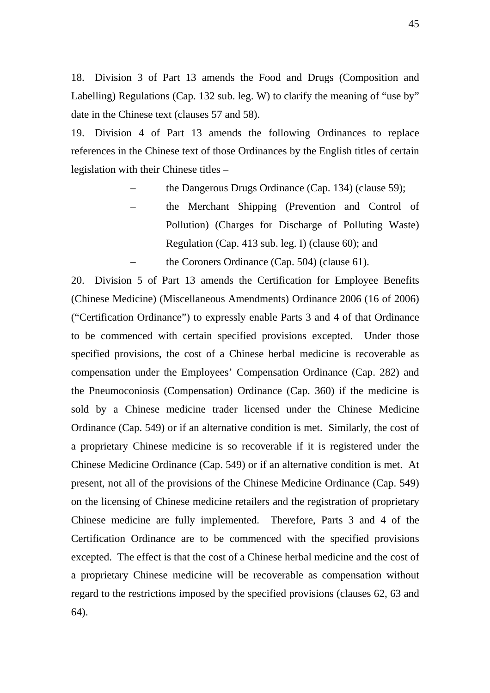18. Division 3 of Part 13 amends the Food and Drugs (Composition and Labelling) Regulations (Cap. 132 sub. leg. W) to clarify the meaning of "use by" date in the Chinese text (clauses 57 and 58).

19. Division 4 of Part 13 amends the following Ordinances to replace references in the Chinese text of those Ordinances by the English titles of certain legislation with their Chinese titles –

- the Dangerous Drugs Ordinance (Cap. 134) (clause 59);
- the Merchant Shipping (Prevention and Control of Pollution) (Charges for Discharge of Polluting Waste) Regulation (Cap. 413 sub. leg. I) (clause 60); and the Coroners Ordinance (Cap. 504) (clause  $61$ ).

20. Division 5 of Part 13 amends the Certification for Employee Benefits (Chinese Medicine) (Miscellaneous Amendments) Ordinance 2006 (16 of 2006) ("Certification Ordinance") to expressly enable Parts 3 and 4 of that Ordinance to be commenced with certain specified provisions excepted. Under those specified provisions, the cost of a Chinese herbal medicine is recoverable as compensation under the Employees' Compensation Ordinance (Cap. 282) and the Pneumoconiosis (Compensation) Ordinance (Cap. 360) if the medicine is sold by a Chinese medicine trader licensed under the Chinese Medicine Ordinance (Cap. 549) or if an alternative condition is met. Similarly, the cost of a proprietary Chinese medicine is so recoverable if it is registered under the Chinese Medicine Ordinance (Cap. 549) or if an alternative condition is met. At present, not all of the provisions of the Chinese Medicine Ordinance (Cap. 549) on the licensing of Chinese medicine retailers and the registration of proprietary Chinese medicine are fully implemented. Therefore, Parts 3 and 4 of the Certification Ordinance are to be commenced with the specified provisions excepted. The effect is that the cost of a Chinese herbal medicine and the cost of a proprietary Chinese medicine will be recoverable as compensation without regard to the restrictions imposed by the specified provisions (clauses 62, 63 and 64).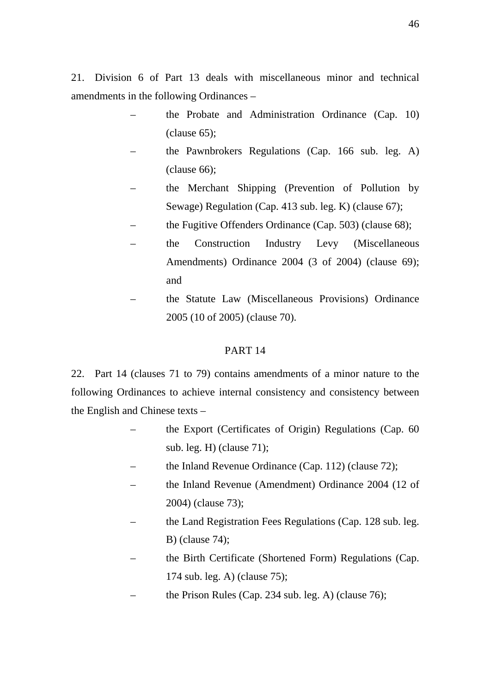21. Division 6 of Part 13 deals with miscellaneous minor and technical amendments in the following Ordinances –

- the Probate and Administration Ordinance (Cap. 10) (clause 65);
	- the Pawnbrokers Regulations (Cap. 166 sub. leg. A) (clause 66);
	- the Merchant Shipping (Prevention of Pollution by Sewage) Regulation (Cap. 413 sub. leg. K) (clause 67);
	- the Fugitive Offenders Ordinance (Cap. 503) (clause 68);
	- the Construction Industry Levy (Miscellaneous Amendments) Ordinance 2004 (3 of 2004) (clause 69); and
	- the Statute Law (Miscellaneous Provisions) Ordinance 2005 (10 of 2005) (clause 70).

### PART 14

22. Part 14 (clauses 71 to 79) contains amendments of a minor nature to the following Ordinances to achieve internal consistency and consistency between the English and Chinese texts –

- the Export (Certificates of Origin) Regulations (Cap. 60 sub. leg. H) (clause 71);
- the Inland Revenue Ordinance (Cap. 112) (clause 72);
- the Inland Revenue (Amendment) Ordinance 2004 (12 of 2004) (clause 73);
- the Land Registration Fees Regulations (Cap. 128 sub. leg. B) (clause 74);
- the Birth Certificate (Shortened Form) Regulations (Cap. 174 sub. leg. A) (clause 75);
- the Prison Rules (Cap. 234 sub. leg. A) (clause 76);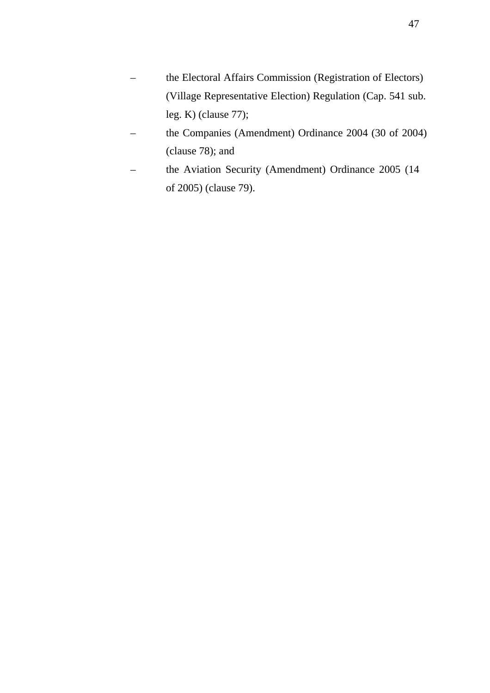- the Electoral Affairs Commission (Registration of Electors) (Village Representative Election) Regulation (Cap. 541 sub. leg. K) (clause 77);
- the Companies (Amendment) Ordinance 2004 (30 of 2004) (clause 78); and
- the Aviation Security (Amendment) Ordinance 2005 (14 of 2005) (clause 79).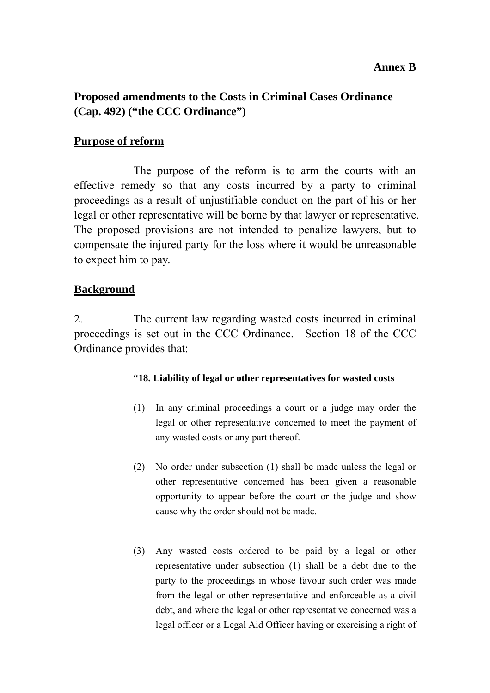## **Annex B**

# **Proposed amendments to the Costs in Criminal Cases Ordinance (Cap. 492) ("the CCC Ordinance")**

## **Purpose of reform**

 The purpose of the reform is to arm the courts with an effective remedy so that any costs incurred by a party to criminal proceedings as a result of unjustifiable conduct on the part of his or her legal or other representative will be borne by that lawyer or representative. The proposed provisions are not intended to penalize lawyers, but to compensate the injured party for the loss where it would be unreasonable to expect him to pay.

## **Background**

2. The current law regarding wasted costs incurred in criminal proceedings is set out in the CCC Ordinance. Section 18 of the CCC Ordinance provides that:

### **"18. Liability of legal or other representatives for wasted costs**

- (1) In any criminal proceedings a court or a judge may order the legal or other representative concerned to meet the payment of any wasted costs or any part thereof.
- (2) No order under subsection (1) shall be made unless the legal or other representative concerned has been given a reasonable opportunity to appear before the court or the judge and show cause why the order should not be made.
- (3) Any wasted costs ordered to be paid by a legal or other representative under subsection (1) shall be a debt due to the party to the proceedings in whose favour such order was made from the legal or other representative and enforceable as a civil debt, and where the legal or other representative concerned was a legal officer or a Legal Aid Officer having or exercising a right of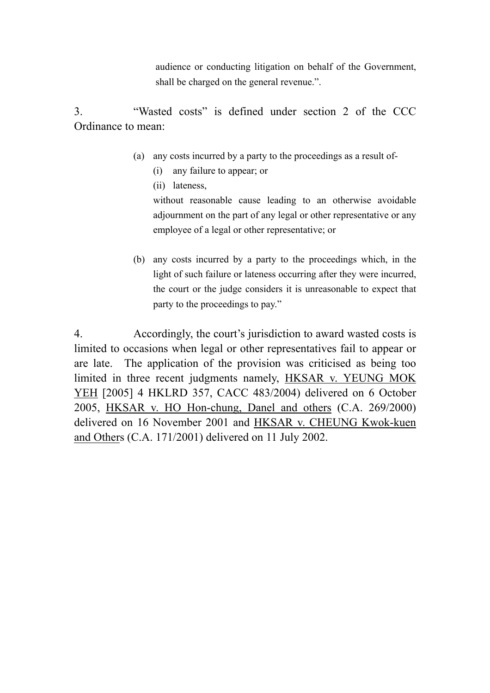audience or conducting litigation on behalf of the Government, shall be charged on the general revenue.".

3. "Wasted costs" is defined under section 2 of the CCC Ordinance to mean:

- (a) any costs incurred by a party to the proceedings as a result of-
	- (i) any failure to appear; or
	- (ii) lateness,

without reasonable cause leading to an otherwise avoidable adjournment on the part of any legal or other representative or any employee of a legal or other representative; or

(b) any costs incurred by a party to the proceedings which, in the light of such failure or lateness occurring after they were incurred, the court or the judge considers it is unreasonable to expect that party to the proceedings to pay."

4. Accordingly, the court's jurisdiction to award wasted costs is limited to occasions when legal or other representatives fail to appear or are late. The application of the provision was criticised as being too limited in three recent judgments namely, HKSAR v. YEUNG MOK YEH [2005] 4 HKLRD 357, CACC 483/2004) delivered on 6 October 2005, HKSAR v. HO Hon-chung, Danel and others (C.A. 269/2000) delivered on 16 November 2001 and HKSAR v. CHEUNG Kwok-kuen and Others (C.A. 171/2001) delivered on 11 July 2002.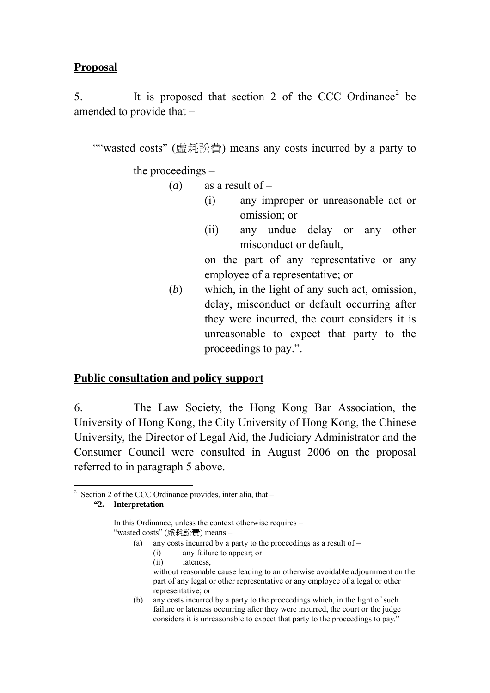## **Proposal**

5. It is proposed that section 2 of the CCC Ordinance<sup>2</sup> be amended to provide that −

""wasted costs" (虛耗訟費) means any costs incurred by a party to

the proceedings –

- (*a*) as a result of
	- (i) any improper or unreasonable act or omission; or
	- (ii) any undue delay or any other misconduct or default,

on the part of any representative or any employee of a representative; or

(*b*) which, in the light of any such act, omission, delay, misconduct or default occurring after they were incurred, the court considers it is unreasonable to expect that party to the proceedings to pay.".

## **Public consultation and policy support**

6. The Law Society, the Hong Kong Bar Association, the University of Hong Kong, the City University of Hong Kong, the Chinese University, the Director of Legal Aid, the Judiciary Administrator and the Consumer Council were consulted in August 2006 on the proposal referred to in paragraph 5 above.

- (a) any costs incurred by a party to the proceedings as a result of  $-$ 
	- (i) any failure to appear; or
	- (ii) lateness,

(b) any costs incurred by a party to the proceedings which, in the light of such failure or lateness occurring after they were incurred, the court or the judge considers it is unreasonable to expect that party to the proceedings to pay."

 $\overline{a}$ <sup>2</sup> Section 2 of the CCC Ordinance provides, inter alia, that  $-$ **"2. Interpretation** 

In this Ordinance, unless the context otherwise requires – "wasted costs" (虛耗訟費) means –

without reasonable cause leading to an otherwise avoidable adjournment on the part of any legal or other representative or any employee of a legal or other representative; or